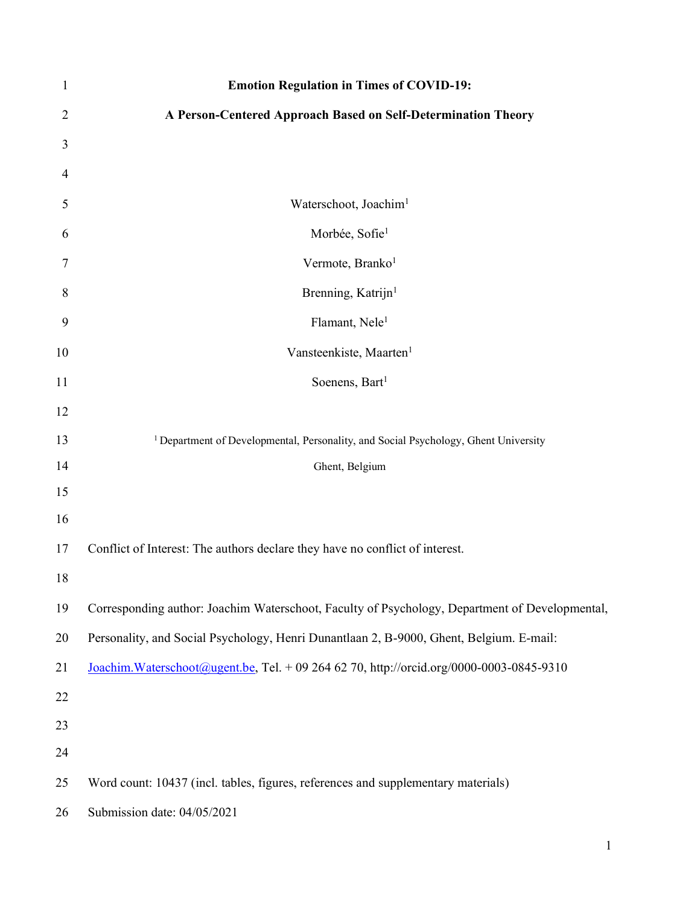| $\mathbf{1}$   | <b>Emotion Regulation in Times of COVID-19:</b>                                                |
|----------------|------------------------------------------------------------------------------------------------|
| $\overline{2}$ | A Person-Centered Approach Based on Self-Determination Theory                                  |
| 3              |                                                                                                |
| 4              |                                                                                                |
| 5              | Waterschoot, Joachim <sup>1</sup>                                                              |
| 6              | Morbée, Sofie <sup>1</sup>                                                                     |
| 7              | Vermote, Branko <sup>1</sup>                                                                   |
| 8              | Brenning, Katrijn <sup>1</sup>                                                                 |
| 9              | Flamant, Nele <sup>1</sup>                                                                     |
| 10             | Vansteenkiste, Maarten <sup>1</sup>                                                            |
| 11             | Soenens, Bart <sup>1</sup>                                                                     |
| 12             |                                                                                                |
| 13             | <sup>1</sup> Department of Developmental, Personality, and Social Psychology, Ghent University |
| 14             | Ghent, Belgium                                                                                 |
| 15             |                                                                                                |
| 16             |                                                                                                |
| 17             | Conflict of Interest: The authors declare they have no conflict of interest.                   |
| 18             |                                                                                                |
| 19             | Corresponding author: Joachim Waterschoot, Faculty of Psychology, Department of Developmental, |
| 20             | Personality, and Social Psychology, Henri Dunantlaan 2, B-9000, Ghent, Belgium. E-mail:        |
| 21             | Joachim. Waterschoot@ugent.be, Tel. + 09 264 62 70, http://orcid.org/0000-0003-0845-9310       |
| 22             |                                                                                                |
| 23             |                                                                                                |
| 24             |                                                                                                |
| 25             | Word count: 10437 (incl. tables, figures, references and supplementary materials)              |
| 26             | Submission date: 04/05/2021                                                                    |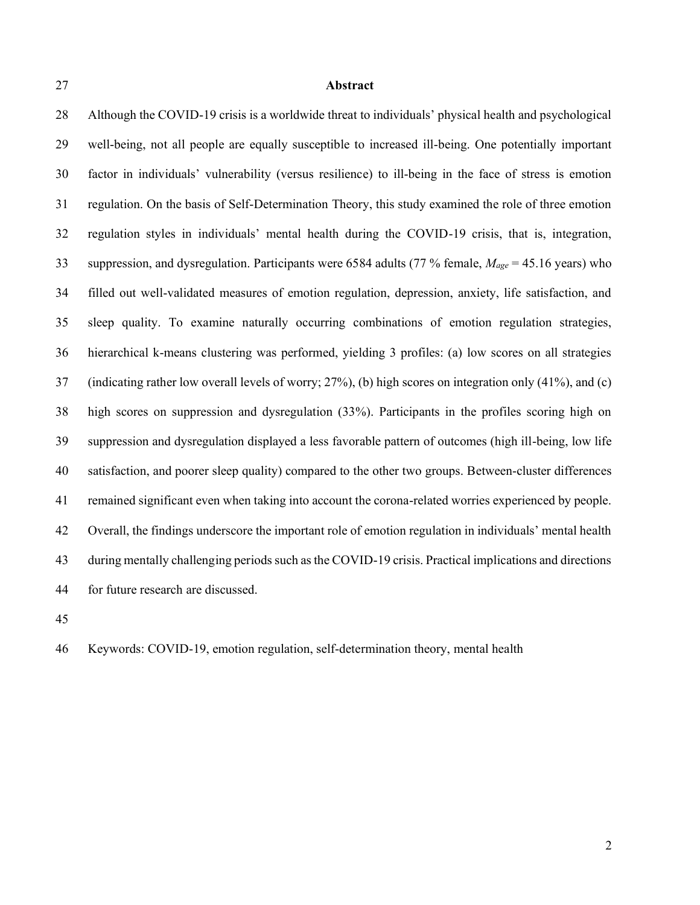# **Abstract**

 Although the COVID-19 crisis is a worldwide threat to individuals' physical health and psychological well-being, not all people are equally susceptible to increased ill-being. One potentially important factor in individuals' vulnerability (versus resilience) to ill-being in the face of stress is emotion regulation. On the basis of Self-Determination Theory, this study examined the role of three emotion regulation styles in individuals' mental health during the COVID-19 crisis, that is, integration, suppression, and dysregulation. Participants were 6584 adults (77 % female, *Mage* = 45.16 years) who filled out well-validated measures of emotion regulation, depression, anxiety, life satisfaction, and sleep quality. To examine naturally occurring combinations of emotion regulation strategies, hierarchical k-means clustering was performed, yielding 3 profiles: (a) low scores on all strategies (indicating rather low overall levels of worry; 27%), (b) high scores on integration only (41%), and (c) high scores on suppression and dysregulation (33%). Participants in the profiles scoring high on suppression and dysregulation displayed a less favorable pattern of outcomes (high ill-being, low life satisfaction, and poorer sleep quality) compared to the other two groups. Between-cluster differences remained significant even when taking into account the corona-related worries experienced by people. Overall, the findings underscore the important role of emotion regulation in individuals' mental health during mentally challenging periods such as the COVID-19 crisis. Practical implications and directions for future research are discussed.

Keywords: COVID-19, emotion regulation, self-determination theory, mental health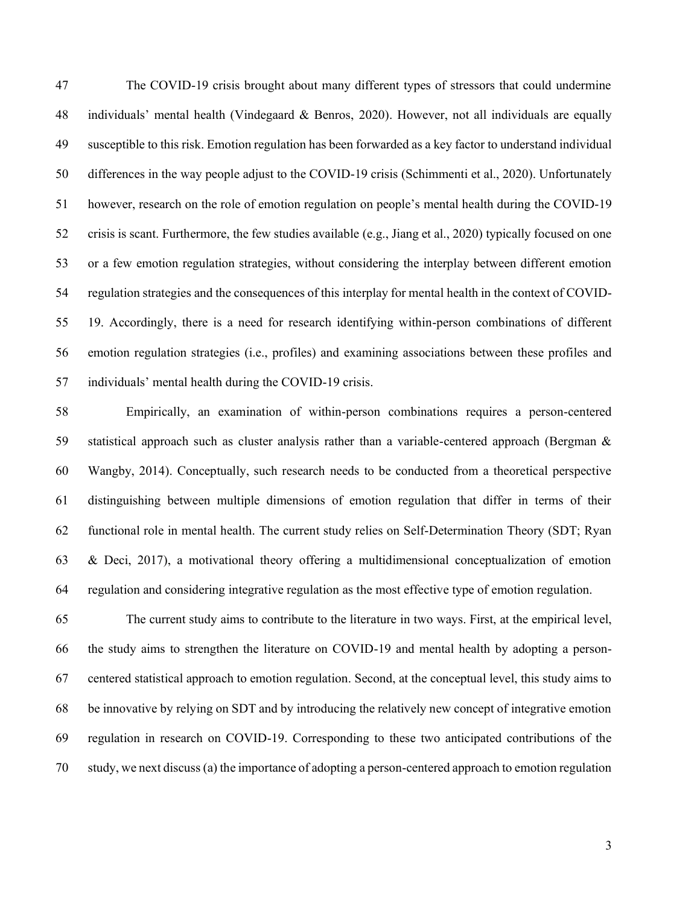The COVID-19 crisis brought about many different types of stressors that could undermine individuals' mental health (Vindegaard & Benros, 2020). However, not all individuals are equally susceptible to this risk. Emotion regulation has been forwarded as a key factor to understand individual differences in the way people adjust to the COVID-19 crisis (Schimmenti et al., 2020). Unfortunately however, research on the role of emotion regulation on people's mental health during the COVID-19 crisis is scant. Furthermore, the few studies available (e.g., Jiang et al., 2020) typically focused on one or a few emotion regulation strategies, without considering the interplay between different emotion regulation strategies and the consequences of this interplay for mental health in the context of COVID- 19. Accordingly, there is a need for research identifying within-person combinations of different emotion regulation strategies (i.e., profiles) and examining associations between these profiles and individuals' mental health during the COVID-19 crisis.

 Empirically, an examination of within-person combinations requires a person-centered statistical approach such as cluster analysis rather than a variable-centered approach (Bergman & Wangby, 2014). Conceptually, such research needs to be conducted from a theoretical perspective distinguishing between multiple dimensions of emotion regulation that differ in terms of their functional role in mental health. The current study relies on Self-Determination Theory (SDT; Ryan & Deci, 2017), a motivational theory offering a multidimensional conceptualization of emotion regulation and considering integrative regulation as the most effective type of emotion regulation.

 The current study aims to contribute to the literature in two ways. First, at the empirical level, the study aims to strengthen the literature on COVID-19 and mental health by adopting a person- centered statistical approach to emotion regulation. Second, at the conceptual level, this study aims to be innovative by relying on SDT and by introducing the relatively new concept of integrative emotion regulation in research on COVID-19. Corresponding to these two anticipated contributions of the study, we next discuss (a) the importance of adopting a person-centered approach to emotion regulation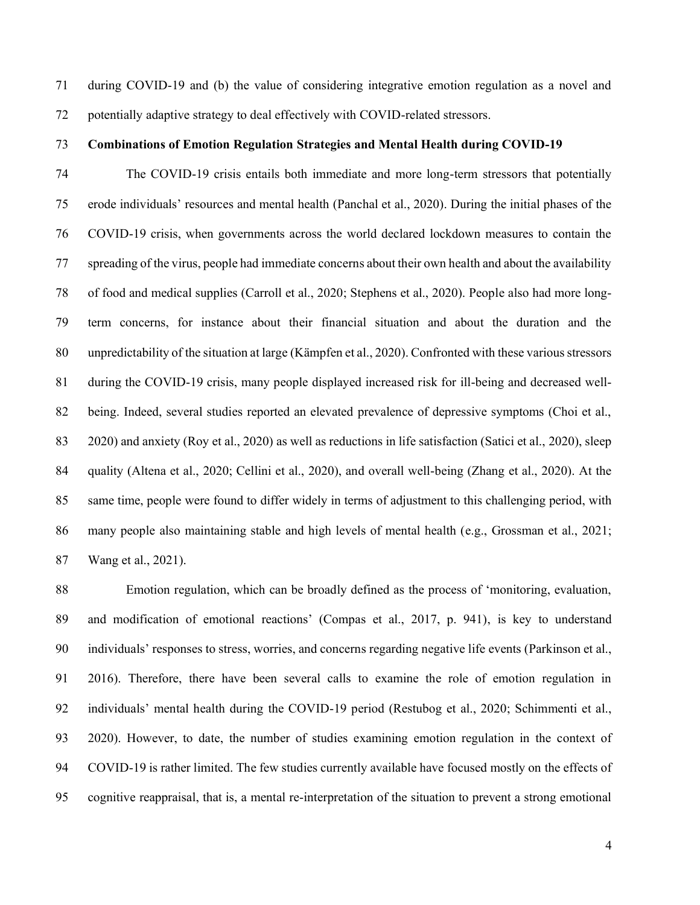during COVID-19 and (b) the value of considering integrative emotion regulation as a novel and potentially adaptive strategy to deal effectively with COVID-related stressors.

# **Combinations of Emotion Regulation Strategies and Mental Health during COVID-19**

 The COVID-19 crisis entails both immediate and more long-term stressors that potentially erode individuals' resources and mental health (Panchal et al., 2020). During the initial phases of the COVID-19 crisis, when governments across the world declared lockdown measures to contain the spreading of the virus, people had immediate concerns about their own health and about the availability of food and medical supplies (Carroll et al., 2020; Stephens et al., 2020). People also had more long- term concerns, for instance about their financial situation and about the duration and the unpredictability of the situation at large (Kämpfen et al., 2020). Confronted with these various stressors during the COVID-19 crisis, many people displayed increased risk for ill-being and decreased well- being. Indeed, several studies reported an elevated prevalence of depressive symptoms (Choi et al., 2020) and anxiety (Roy et al., 2020) as well as reductions in life satisfaction (Satici et al., 2020), sleep quality (Altena et al., 2020; Cellini et al., 2020), and overall well-being (Zhang et al., 2020). At the same time, people were found to differ widely in terms of adjustment to this challenging period, with many people also maintaining stable and high levels of mental health (e.g., Grossman et al., 2021; Wang et al., 2021).

 Emotion regulation, which can be broadly defined as the process of 'monitoring, evaluation, and modification of emotional reactions' (Compas et al., 2017, p. 941), is key to understand individuals' responses to stress, worries, and concerns regarding negative life events (Parkinson et al., 2016). Therefore, there have been several calls to examine the role of emotion regulation in individuals' mental health during the COVID-19 period (Restubog et al., 2020; Schimmenti et al., 2020). However, to date, the number of studies examining emotion regulation in the context of COVID-19 is rather limited. The few studies currently available have focused mostly on the effects of cognitive reappraisal, that is, a mental re-interpretation of the situation to prevent a strong emotional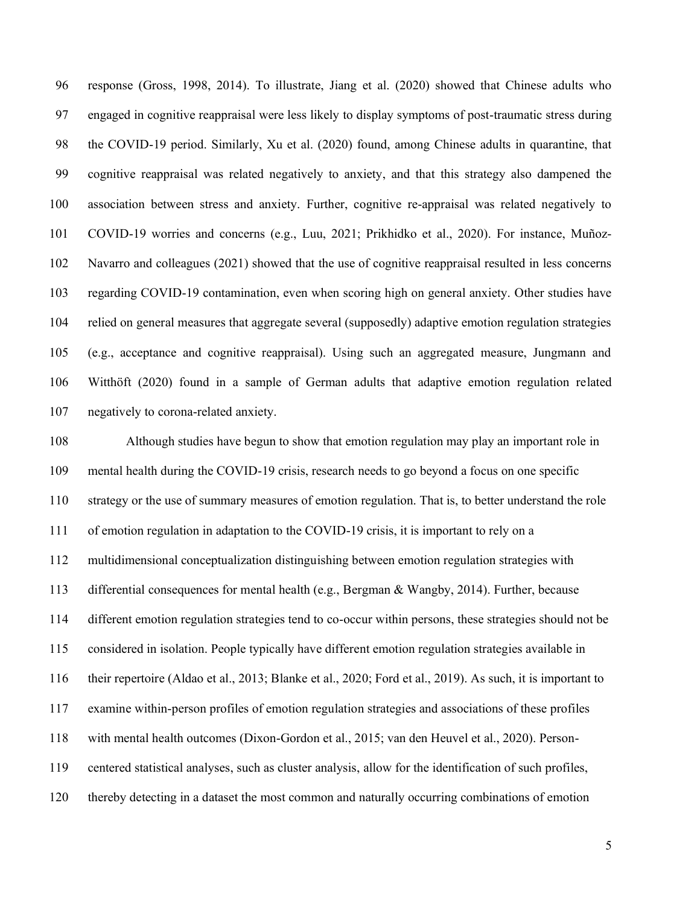response (Gross, 1998, 2014). To illustrate, Jiang et al. (2020) showed that Chinese adults who engaged in cognitive reappraisal were less likely to display symptoms of post-traumatic stress during the COVID-19 period. Similarly, Xu et al. (2020) found, among Chinese adults in quarantine, that cognitive reappraisal was related negatively to anxiety, and that this strategy also dampened the association between stress and anxiety. Further, cognitive re-appraisal was related negatively to COVID-19 worries and concerns (e.g., Luu, 2021; Prikhidko et al., 2020). For instance, Muñoz- Navarro and colleagues (2021) showed that the use of cognitive reappraisal resulted in less concerns regarding COVID-19 contamination, even when scoring high on general anxiety. Other studies have relied on general measures that aggregate several (supposedly) adaptive emotion regulation strategies (e.g., acceptance and cognitive reappraisal). Using such an aggregated measure, Jungmann and Witthöft (2020) found in a sample of German adults that adaptive emotion regulation related negatively to corona-related anxiety.

 Although studies have begun to show that emotion regulation may play an important role in mental health during the COVID-19 crisis, research needs to go beyond a focus on one specific strategy or the use of summary measures of emotion regulation. That is, to better understand the role of emotion regulation in adaptation to the COVID-19 crisis, it is important to rely on a multidimensional conceptualization distinguishing between emotion regulation strategies with differential consequences for mental health (e.g., Bergman & Wangby, 2014). Further, because different emotion regulation strategies tend to co-occur within persons, these strategies should not be considered in isolation. People typically have different emotion regulation strategies available in their repertoire (Aldao et al., 2013; Blanke et al., 2020; Ford et al., 2019). As such, it is important to examine within-person profiles of emotion regulation strategies and associations of these profiles with mental health outcomes (Dixon-Gordon et al., 2015; van den Heuvel et al., 2020). Person- centered statistical analyses, such as cluster analysis, allow for the identification of such profiles, thereby detecting in a dataset the most common and naturally occurring combinations of emotion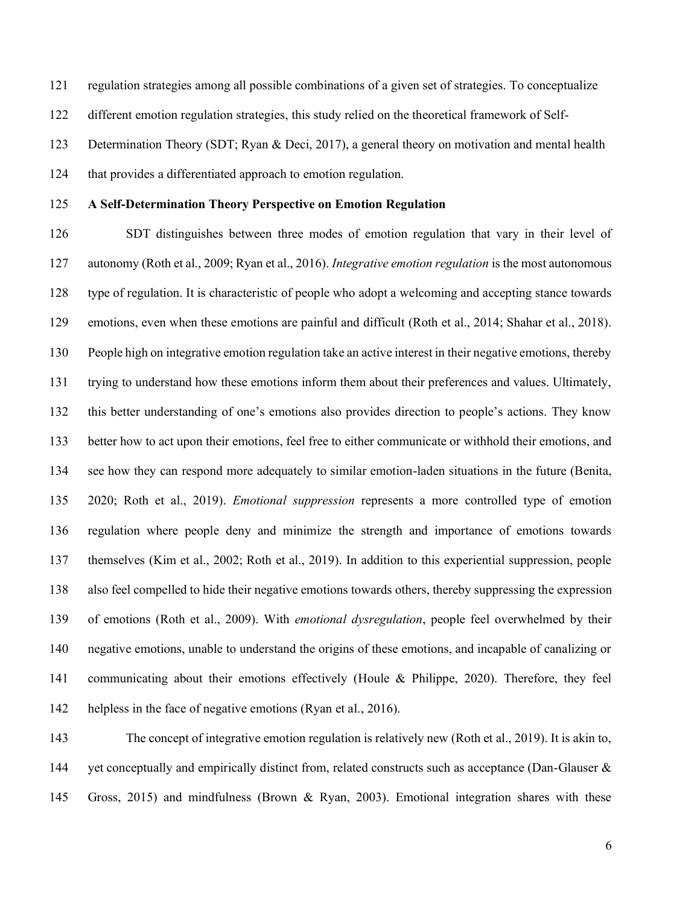regulation strategies among all possible combinations of a given set of strategies. To conceptualize different emotion regulation strategies, this study relied on the theoretical framework of Self-Determination Theory (SDT; Ryan & Deci, 2017), a general theory on motivation and mental health

that provides a differentiated approach to emotion regulation.

# **A Self-Determination Theory Perspective on Emotion Regulation**

 SDT distinguishes between three modes of emotion regulation that vary in their level of autonomy (Roth et al., 2009; Ryan et al., 2016). *Integrative emotion regulation* is the most autonomous type of regulation. It is characteristic of people who adopt a welcoming and accepting stance towards emotions, even when these emotions are painful and difficult (Roth et al., 2014; Shahar et al., 2018). People high on integrative emotion regulation take an active interest in their negative emotions, thereby trying to understand how these emotions inform them about their preferences and values. Ultimately, this better understanding of one's emotions also provides direction to people's actions. They know better how to act upon their emotions, feel free to either communicate or withhold their emotions, and see how they can respond more adequately to similar emotion-laden situations in the future (Benita, 2020; Roth et al., 2019). *Emotional suppression* represents a more controlled type of emotion regulation where people deny and minimize the strength and importance of emotions towards themselves (Kim et al., 2002; Roth et al., 2019). In addition to this experiential suppression, people also feel compelled to hide their negative emotions towards others, thereby suppressing the expression of emotions (Roth et al., 2009). With *emotional dysregulation*, people feel overwhelmed by their negative emotions, unable to understand the origins of these emotions, and incapable of canalizing or communicating about their emotions effectively (Houle & Philippe, 2020). Therefore, they feel 142 helpless in the face of negative emotions (Ryan et al., 2016).

 The concept of integrative emotion regulation is relatively new (Roth et al., 2019). It is akin to, 144 yet conceptually and empirically distinct from, related constructs such as acceptance (Dan-Glauser & Gross, 2015) and mindfulness (Brown & Ryan, 2003). Emotional integration shares with these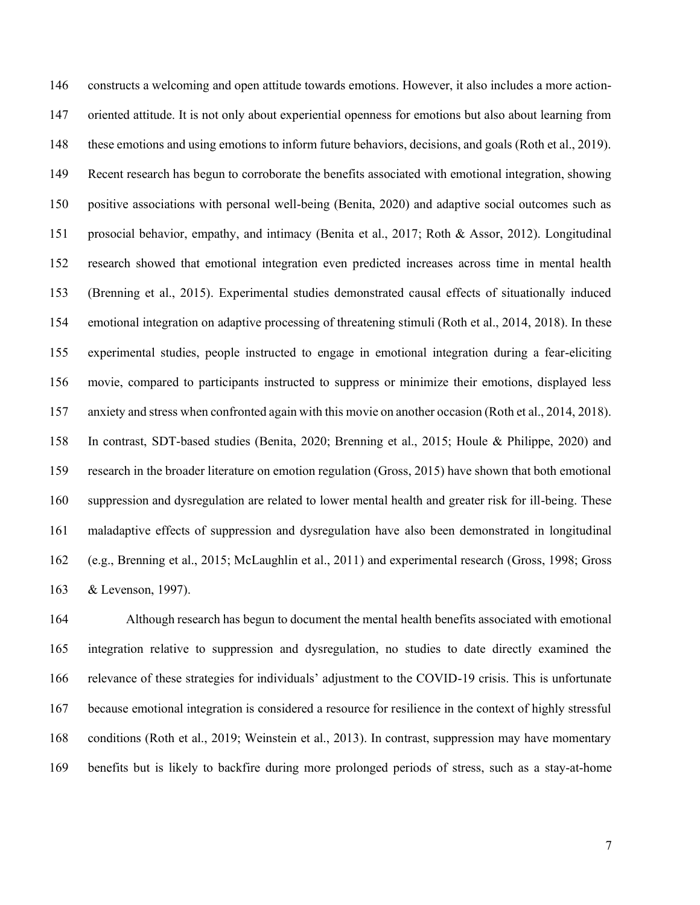constructs a welcoming and open attitude towards emotions. However, it also includes a more action- oriented attitude. It is not only about experiential openness for emotions but also about learning from these emotions and using emotions to inform future behaviors, decisions, and goals (Roth et al., 2019). Recent research has begun to corroborate the benefits associated with emotional integration, showing positive associations with personal well-being (Benita, 2020) and adaptive social outcomes such as prosocial behavior, empathy, and intimacy (Benita et al., 2017; Roth & Assor, 2012). Longitudinal research showed that emotional integration even predicted increases across time in mental health (Brenning et al., 2015). Experimental studies demonstrated causal effects of situationally induced emotional integration on adaptive processing of threatening stimuli (Roth et al., 2014, 2018). In these experimental studies, people instructed to engage in emotional integration during a fear-eliciting movie, compared to participants instructed to suppress or minimize their emotions, displayed less anxiety and stress when confronted again with this movie on another occasion (Roth et al., 2014, 2018). In contrast, SDT-based studies (Benita, 2020; Brenning et al., 2015; Houle & Philippe, 2020) and research in the broader literature on emotion regulation (Gross, 2015) have shown that both emotional suppression and dysregulation are related to lower mental health and greater risk for ill-being. These maladaptive effects of suppression and dysregulation have also been demonstrated in longitudinal (e.g., Brenning et al., 2015; McLaughlin et al., 2011) and experimental research (Gross, 1998; Gross & Levenson, 1997).

 Although research has begun to document the mental health benefits associated with emotional integration relative to suppression and dysregulation, no studies to date directly examined the relevance of these strategies for individuals' adjustment to the COVID-19 crisis. This is unfortunate because emotional integration is considered a resource for resilience in the context of highly stressful conditions (Roth et al., 2019; Weinstein et al., 2013). In contrast, suppression may have momentary benefits but is likely to backfire during more prolonged periods of stress, such as a stay-at-home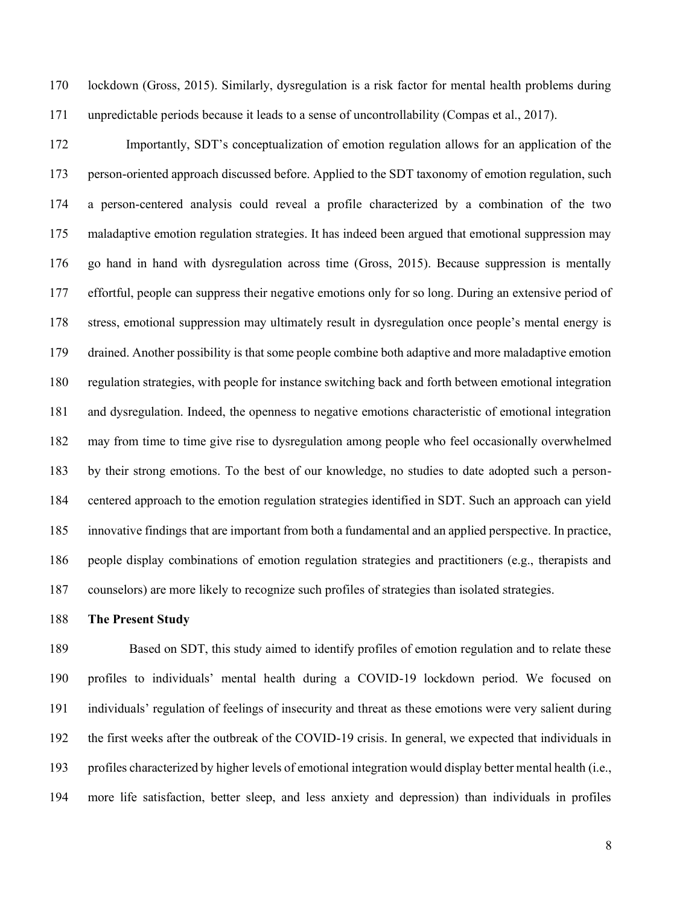lockdown (Gross, 2015). Similarly, dysregulation is a risk factor for mental health problems during unpredictable periods because it leads to a sense of uncontrollability (Compas et al., 2017).

 Importantly, SDT's conceptualization of emotion regulation allows for an application of the person-oriented approach discussed before. Applied to the SDT taxonomy of emotion regulation, such a person-centered analysis could reveal a profile characterized by a combination of the two maladaptive emotion regulation strategies. It has indeed been argued that emotional suppression may go hand in hand with dysregulation across time (Gross, 2015). Because suppression is mentally effortful, people can suppress their negative emotions only for so long. During an extensive period of stress, emotional suppression may ultimately result in dysregulation once people's mental energy is drained. Another possibility is that some people combine both adaptive and more maladaptive emotion regulation strategies, with people for instance switching back and forth between emotional integration and dysregulation. Indeed, the openness to negative emotions characteristic of emotional integration may from time to time give rise to dysregulation among people who feel occasionally overwhelmed by their strong emotions. To the best of our knowledge, no studies to date adopted such a person- centered approach to the emotion regulation strategies identified in SDT. Such an approach can yield innovative findings that are important from both a fundamental and an applied perspective. In practice, people display combinations of emotion regulation strategies and practitioners (e.g., therapists and counselors) are more likely to recognize such profiles of strategies than isolated strategies.

# **The Present Study**

 Based on SDT, this study aimed to identify profiles of emotion regulation and to relate these profiles to individuals' mental health during a COVID-19 lockdown period. We focused on individuals' regulation of feelings of insecurity and threat as these emotions were very salient during the first weeks after the outbreak of the COVID-19 crisis. In general, we expected that individuals in profiles characterized by higher levels of emotional integration would display better mental health (i.e., more life satisfaction, better sleep, and less anxiety and depression) than individuals in profiles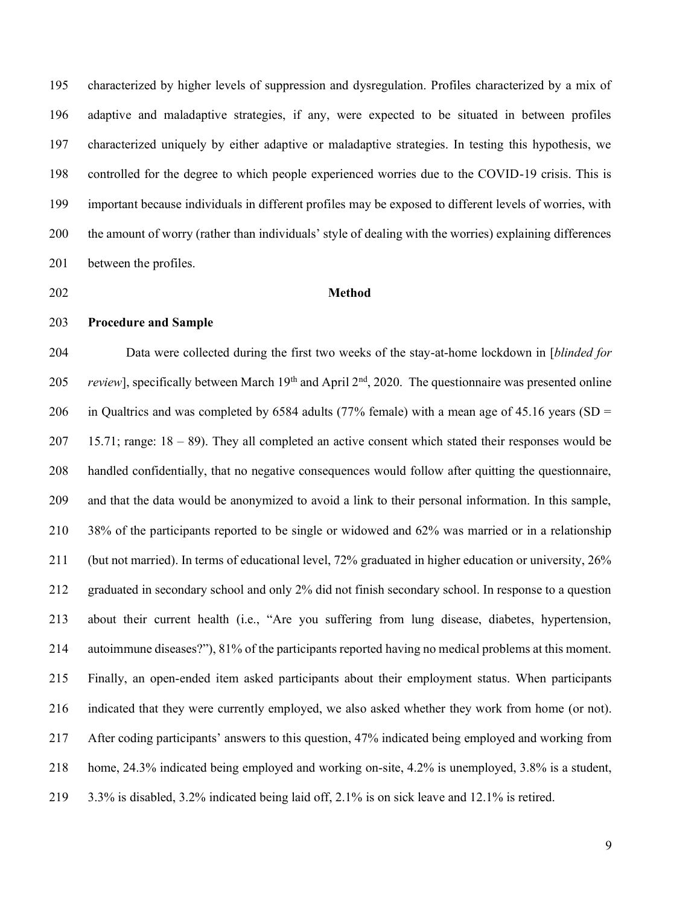characterized by higher levels of suppression and dysregulation. Profiles characterized by a mix of adaptive and maladaptive strategies, if any, were expected to be situated in between profiles characterized uniquely by either adaptive or maladaptive strategies. In testing this hypothesis, we controlled for the degree to which people experienced worries due to the COVID-19 crisis. This is important because individuals in different profiles may be exposed to different levels of worries, with the amount of worry (rather than individuals' style of dealing with the worries) explaining differences between the profiles.

#### **Method**

**Procedure and Sample**

 Data were collected during the first two weeks of the stay-at-home lockdown in [*blinded for review*], specifically between March 19<sup>th</sup> and April 2<sup>nd</sup>, 2020. The questionnaire was presented online 206 in Qualtrics and was completed by 6584 adults (77% female) with a mean age of 45.16 years (SD = 15.71; range: 18 – 89). They all completed an active consent which stated their responses would be handled confidentially, that no negative consequences would follow after quitting the questionnaire, and that the data would be anonymized to avoid a link to their personal information. In this sample, 38% of the participants reported to be single or widowed and 62% was married or in a relationship (but not married). In terms of educational level, 72% graduated in higher education or university, 26% graduated in secondary school and only 2% did not finish secondary school. In response to a question about their current health (i.e., "Are you suffering from lung disease, diabetes, hypertension, autoimmune diseases?"), 81% of the participants reported having no medical problems at this moment. Finally, an open-ended item asked participants about their employment status. When participants indicated that they were currently employed, we also asked whether they work from home (or not). After coding participants' answers to this question, 47% indicated being employed and working from home, 24.3% indicated being employed and working on-site, 4.2% is unemployed, 3.8% is a student, 3.3% is disabled, 3.2% indicated being laid off, 2.1% is on sick leave and 12.1% is retired.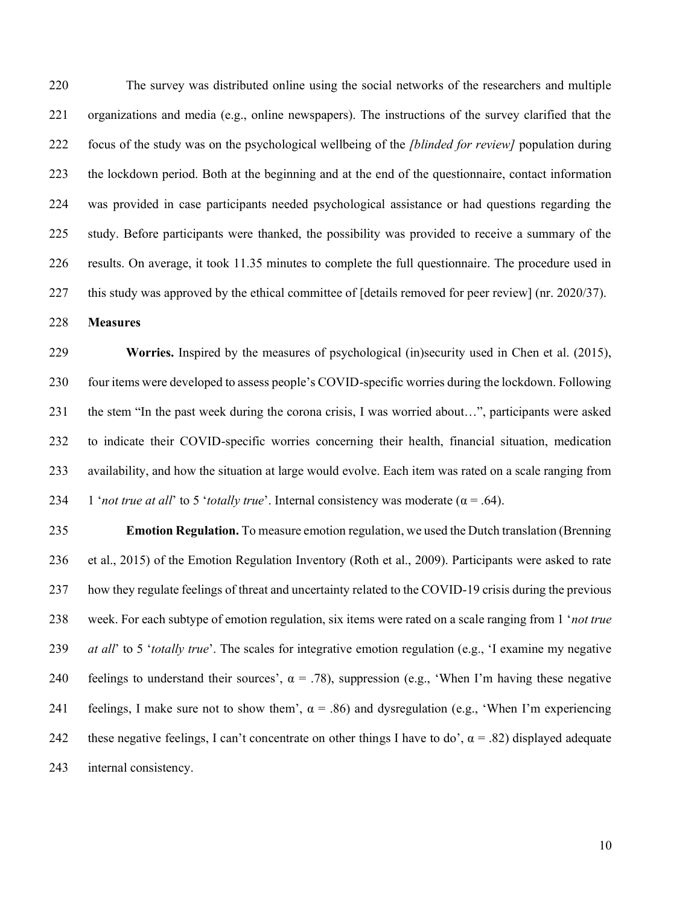The survey was distributed online using the social networks of the researchers and multiple organizations and media (e.g., online newspapers). The instructions of the survey clarified that the focus of the study was on the psychological wellbeing of the *[blinded for review]* population during the lockdown period. Both at the beginning and at the end of the questionnaire, contact information was provided in case participants needed psychological assistance or had questions regarding the study. Before participants were thanked, the possibility was provided to receive a summary of the results. On average, it took 11.35 minutes to complete the full questionnaire. The procedure used in this study was approved by the ethical committee of [details removed for peer review] (nr. 2020/37).

**Measures**

 **Worries.** Inspired by the measures of psychological (in)security used in Chen et al. (2015), four items were developed to assess people's COVID-specific worries during the lockdown. Following the stem "In the past week during the corona crisis, I was worried about…", participants were asked to indicate their COVID-specific worries concerning their health, financial situation, medication availability, and how the situation at large would evolve. Each item was rated on a scale ranging from 234 1 '*not true at all*' to 5 '*totally true*'. Internal consistency was moderate ( $\alpha$  = .64).

 **Emotion Regulation.** To measure emotion regulation, we used the Dutch translation (Brenning et al., 2015) of the Emotion Regulation Inventory (Roth et al., 2009). Participants were asked to rate how they regulate feelings of threat and uncertainty related to the COVID-19 crisis during the previous week. For each subtype of emotion regulation, six items were rated on a scale ranging from 1 '*not true at all*' to 5 '*totally true*'. The scales for integrative emotion regulation (e.g., 'I examine my negative 240 feelings to understand their sources',  $\alpha = .78$ ), suppression (e.g., 'When I'm having these negative 241 feelings, I make sure not to show them',  $\alpha = .86$ ) and dysregulation (e.g., 'When I'm experiencing 242 these negative feelings, I can't concentrate on other things I have to do',  $\alpha = .82$ ) displayed adequate internal consistency.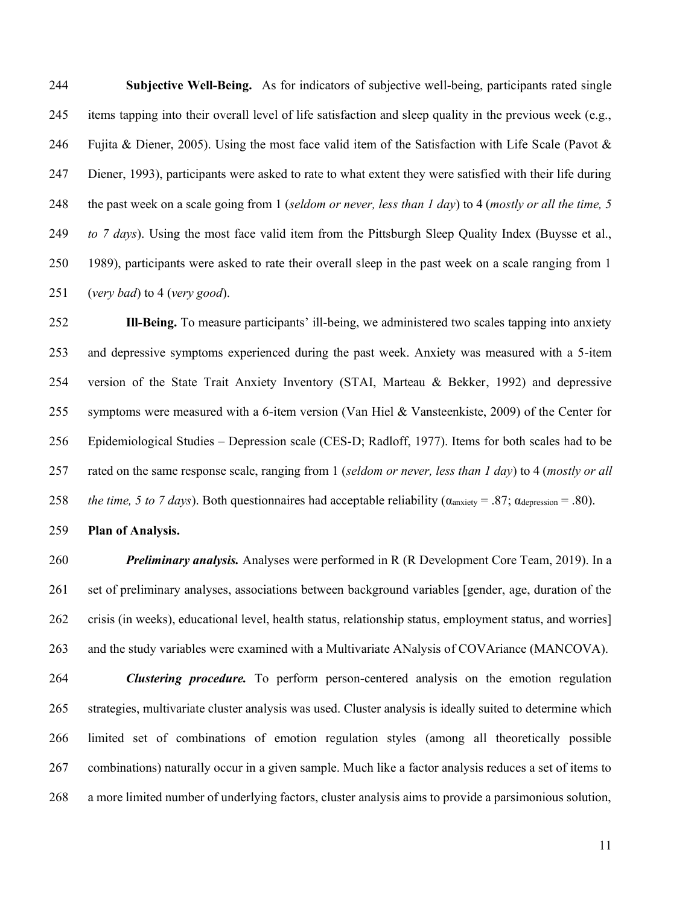**Subjective Well-Being.** As for indicators of subjective well-being, participants rated single items tapping into their overall level of life satisfaction and sleep quality in the previous week (e.g., 246 Fujita & Diener, 2005). Using the most face valid item of the Satisfaction with Life Scale (Pavot  $\&$  Diener, 1993), participants were asked to rate to what extent they were satisfied with their life during the past week on a scale going from 1 (*seldom or never, less than 1 day*) to 4 (*mostly or all the time, 5 to 7 days*). Using the most face valid item from the Pittsburgh Sleep Quality Index (Buysse et al., 1989), participants were asked to rate their overall sleep in the past week on a scale ranging from 1 (*very bad*) to 4 (*very good*).

 **Ill-Being.** To measure participants' ill-being, we administered two scales tapping into anxiety and depressive symptoms experienced during the past week. Anxiety was measured with a 5-item version of the State Trait Anxiety Inventory (STAI, Marteau & Bekker, 1992) and depressive symptoms were measured with a 6-item version (Van Hiel & Vansteenkiste, 2009) of the Center for Epidemiological Studies – Depression scale (CES-D; Radloff, 1977). Items for both scales had to be rated on the same response scale, ranging from 1 (*seldom or never, less than 1 day*) to 4 (*mostly or all the time, 5 to 7 days*). Both questionnaires had acceptable reliability ( $\alpha_{\text{anxiety}} = .87$ ;  $\alpha_{\text{depression}} = .80$ ).

**Plan of Analysis.**

 *Preliminary analysis.* Analyses were performed in R (R Development Core Team, 2019). In a set of preliminary analyses, associations between background variables [gender, age, duration of the crisis (in weeks), educational level, health status, relationship status, employment status, and worries] and the study variables were examined with a Multivariate ANalysis of COVAriance (MANCOVA).

 *Clustering procedure.* To perform person-centered analysis on the emotion regulation strategies, multivariate cluster analysis was used. Cluster analysis is ideally suited to determine which limited set of combinations of emotion regulation styles (among all theoretically possible combinations) naturally occur in a given sample. Much like a factor analysis reduces a set of items to a more limited number of underlying factors, cluster analysis aims to provide a parsimonious solution,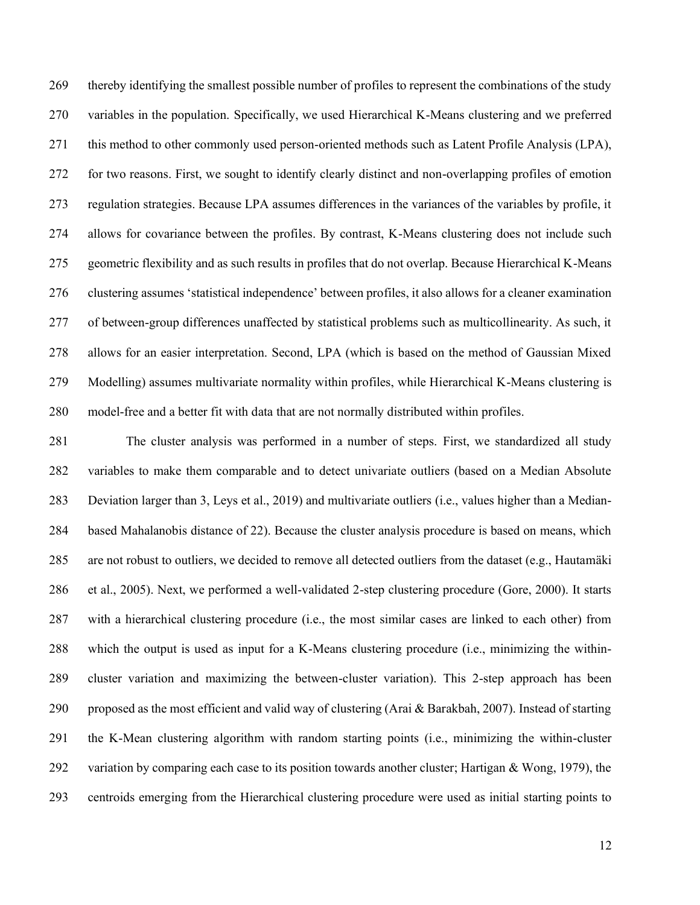thereby identifying the smallest possible number of profiles to represent the combinations of the study variables in the population. Specifically, we used Hierarchical K-Means clustering and we preferred this method to other commonly used person-oriented methods such as Latent Profile Analysis (LPA), for two reasons. First, we sought to identify clearly distinct and non-overlapping profiles of emotion regulation strategies. Because LPA assumes differences in the variances of the variables by profile, it allows for covariance between the profiles. By contrast, K-Means clustering does not include such geometric flexibility and as such results in profiles that do not overlap. Because Hierarchical K-Means clustering assumes 'statistical independence' between profiles, it also allows for a cleaner examination of between-group differences unaffected by statistical problems such as multicollinearity. As such, it allows for an easier interpretation. Second, LPA (which is based on the method of Gaussian Mixed Modelling) assumes multivariate normality within profiles, while Hierarchical K-Means clustering is model-free and a better fit with data that are not normally distributed within profiles.

 The cluster analysis was performed in a number of steps. First, we standardized all study variables to make them comparable and to detect univariate outliers (based on a Median Absolute Deviation larger than 3, Leys et al., 2019) and multivariate outliers (i.e., values higher than a Median- based Mahalanobis distance of 22). Because the cluster analysis procedure is based on means, which are not robust to outliers, we decided to remove all detected outliers from the dataset (e.g., Hautamaki et al., 2005). Next, we performed a well-validated 2-step clustering procedure (Gore, 2000). It starts with a hierarchical clustering procedure (i.e., the most similar cases are linked to each other) from which the output is used as input for a K-Means clustering procedure (i.e., minimizing the within- cluster variation and maximizing the between-cluster variation). This 2-step approach has been proposed as the most efficient and valid way of clustering (Arai & Barakbah, 2007). Instead of starting the K-Mean clustering algorithm with random starting points (i.e., minimizing the within-cluster 292 variation by comparing each case to its position towards another cluster; Hartigan & Wong, 1979), the centroids emerging from the Hierarchical clustering procedure were used as initial starting points to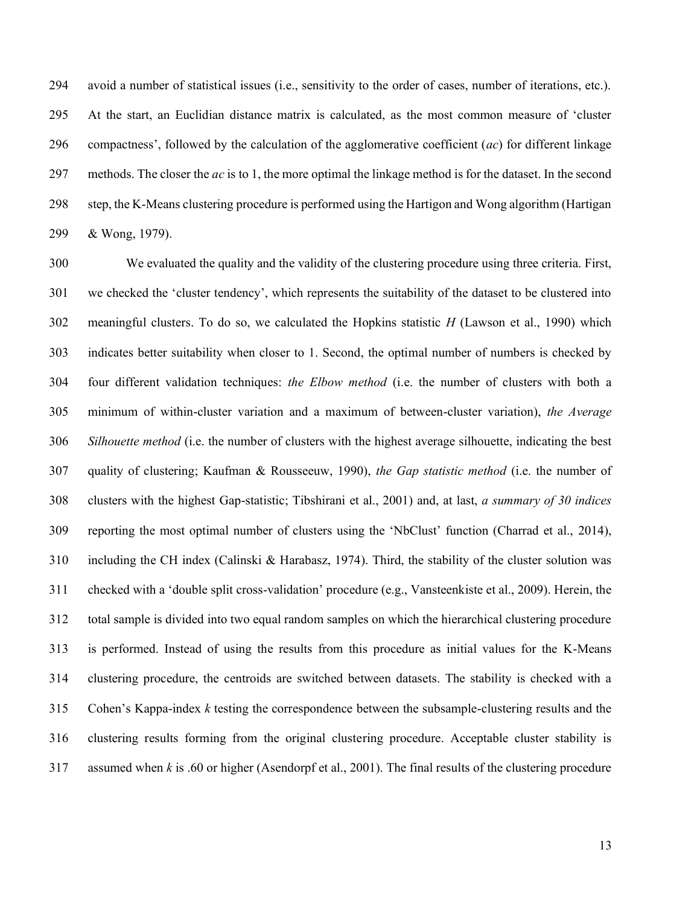avoid a number of statistical issues (i.e., sensitivity to the order of cases, number of iterations, etc.). At the start, an Euclidian distance matrix is calculated, as the most common measure of 'cluster compactness', followed by the calculation of the agglomerative coefficient (*ac*) for different linkage methods. The closer the *ac* is to 1, the more optimal the linkage method is for the dataset. In the second step, the K-Means clustering procedure is performed using the Hartigon and Wong algorithm (Hartigan & Wong, 1979).

 We evaluated the quality and the validity of the clustering procedure using three criteria. First, we checked the 'cluster tendency', which represents the suitability of the dataset to be clustered into meaningful clusters. To do so, we calculated the Hopkins statistic *H* (Lawson et al., 1990) which indicates better suitability when closer to 1. Second, the optimal number of numbers is checked by four different validation techniques: *the Elbow method* (i.e. the number of clusters with both a minimum of within-cluster variation and a maximum of between-cluster variation), *the Average Silhouette method* (i.e. the number of clusters with the highest average silhouette, indicating the best quality of clustering; Kaufman & Rousseeuw, 1990), *the Gap statistic method* (i.e. the number of clusters with the highest Gap-statistic; Tibshirani et al., 2001) and, at last, *a summary of 30 indices* reporting the most optimal number of clusters using the 'NbClust' function (Charrad et al., 2014), including the CH index (Calinski & Harabasz, 1974). Third, the stability of the cluster solution was checked with a 'double split cross-validation' procedure (e.g., Vansteenkiste et al., 2009). Herein, the total sample is divided into two equal random samples on which the hierarchical clustering procedure is performed. Instead of using the results from this procedure as initial values for the K-Means clustering procedure, the centroids are switched between datasets. The stability is checked with a Cohen's Kappa-index *k* testing the correspondence between the subsample-clustering results and the clustering results forming from the original clustering procedure. Acceptable cluster stability is assumed when *k* is .60 or higher (Asendorpf et al., 2001). The final results of the clustering procedure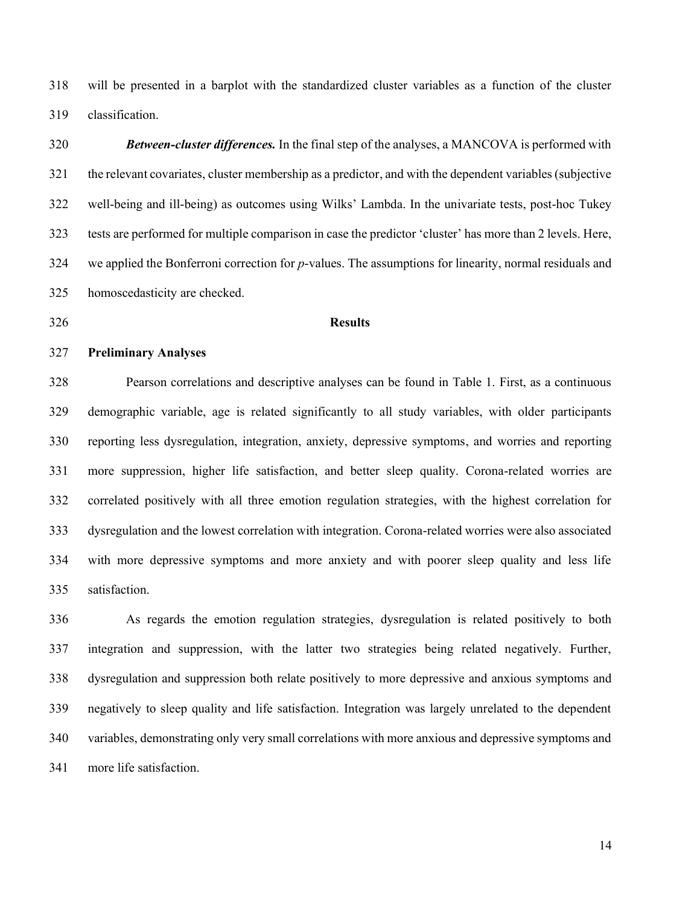will be presented in a barplot with the standardized cluster variables as a function of the cluster classification.

# *Between-cluster differences.* In the final step of the analyses, a MANCOVA is performed with the relevant covariates, cluster membership as a predictor, and with the dependent variables (subjective well-being and ill-being) as outcomes using Wilks' Lambda. In the univariate tests, post-hoc Tukey

 tests are performed for multiple comparison in case the predictor 'cluster' has more than 2 levels. Here, we applied the Bonferroni correction for *p*-values. The assumptions for linearity, normal residuals and homoscedasticity are checked.

#### **Results**

# **Preliminary Analyses**

 Pearson correlations and descriptive analyses can be found in Table 1. First, as a continuous demographic variable, age is related significantly to all study variables, with older participants reporting less dysregulation, integration, anxiety, depressive symptoms, and worries and reporting more suppression, higher life satisfaction, and better sleep quality. Corona-related worries are correlated positively with all three emotion regulation strategies, with the highest correlation for dysregulation and the lowest correlation with integration. Corona-related worries were also associated with more depressive symptoms and more anxiety and with poorer sleep quality and less life satisfaction.

 As regards the emotion regulation strategies, dysregulation is related positively to both integration and suppression, with the latter two strategies being related negatively. Further, dysregulation and suppression both relate positively to more depressive and anxious symptoms and negatively to sleep quality and life satisfaction. Integration was largely unrelated to the dependent variables, demonstrating only very small correlations with more anxious and depressive symptoms and more life satisfaction.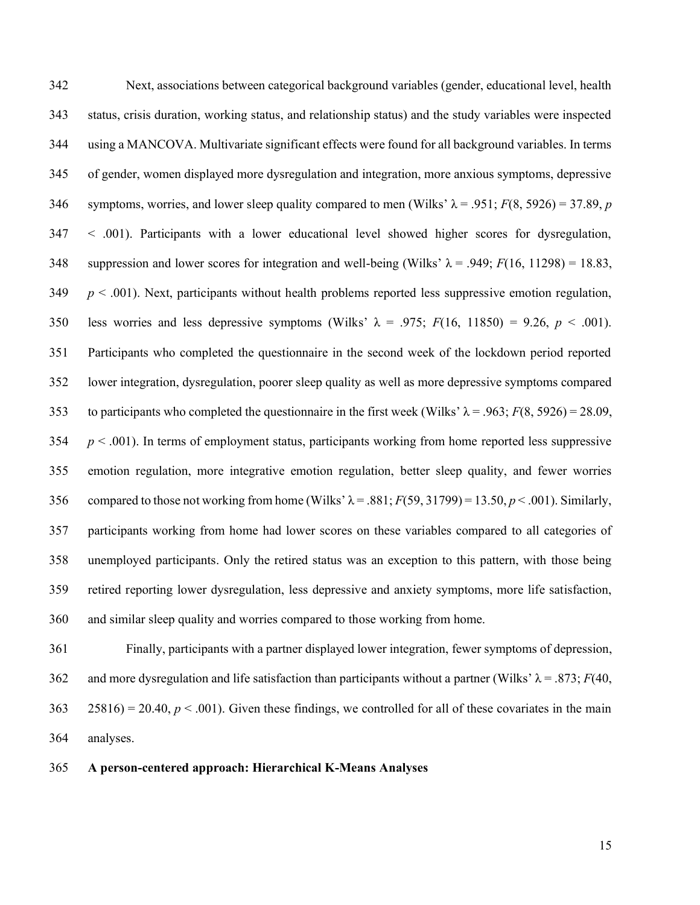Next, associations between categorical background variables (gender, educational level, health status, crisis duration, working status, and relationship status) and the study variables were inspected using a MANCOVA. Multivariate significant effects were found for all background variables. In terms of gender, women displayed more dysregulation and integration, more anxious symptoms, depressive 346 symptoms, worries, and lower sleep quality compared to men (Wilks'  $\lambda = .951$ ;  $F(8, 5926) = 37.89$ , *p*  < .001). Participants with a lower educational level showed higher scores for dysregulation, 348 suppression and lower scores for integration and well-being (Wilks'  $\lambda$  = .949; *F*(16, 11298) = 18.83, *p*  $< .001$ ). Next, participants without health problems reported less suppressive emotion regulation, 350 less worries and less depressive symptoms (Wilks'  $\lambda = .975$ ;  $F(16, 11850) = 9.26$ ,  $p < .001$ ). Participants who completed the questionnaire in the second week of the lockdown period reported lower integration, dysregulation, poorer sleep quality as well as more depressive symptoms compared 353 to participants who completed the questionnaire in the first week (Wilks'  $\lambda = .963$ ;  $F(8, 5926) = 28.09$ , *p* < .001). In terms of employment status, participants working from home reported less suppressive emotion regulation, more integrative emotion regulation, better sleep quality, and fewer worries 356 compared to those not working from home (Wilks'  $\lambda$  = .881;  $F(59, 31799)$  = 13.50,  $p < .001$ ). Similarly, participants working from home had lower scores on these variables compared to all categories of unemployed participants. Only the retired status was an exception to this pattern, with those being retired reporting lower dysregulation, less depressive and anxiety symptoms, more life satisfaction, and similar sleep quality and worries compared to those working from home.

 Finally, participants with a partner displayed lower integration, fewer symptoms of depression, 362 and more dysregulation and life satisfaction than participants without a partner (Wilks'  $\lambda = .873$ ; *F*(40, 363 25816) = 20.40,  $p < .001$ ). Given these findings, we controlled for all of these covariates in the main analyses.

# **A person-centered approach: Hierarchical K-Means Analyses**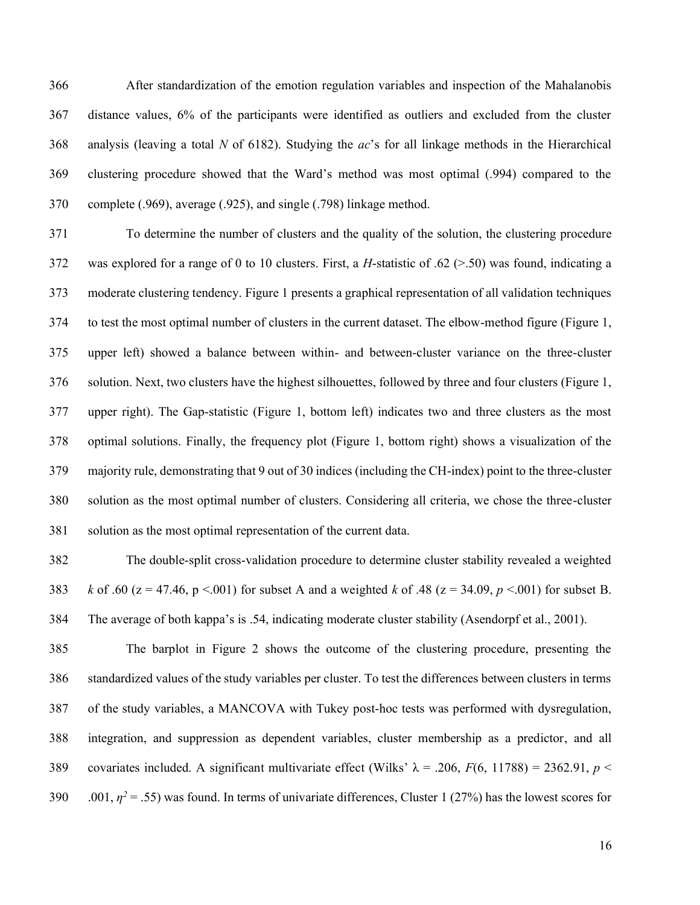After standardization of the emotion regulation variables and inspection of the Mahalanobis distance values, 6% of the participants were identified as outliers and excluded from the cluster analysis (leaving a total *N* of 6182). Studying the *ac*'s for all linkage methods in the Hierarchical clustering procedure showed that the Ward's method was most optimal (.994) compared to the complete (.969), average (.925), and single (.798) linkage method.

 To determine the number of clusters and the quality of the solution, the clustering procedure was explored for a range of 0 to 10 clusters. First, a *H*-statistic of .62 (>.50) was found, indicating a moderate clustering tendency. Figure 1 presents a graphical representation of all validation techniques to test the most optimal number of clusters in the current dataset. The elbow-method figure (Figure 1, upper left) showed a balance between within- and between-cluster variance on the three-cluster solution. Next, two clusters have the highest silhouettes, followed by three and four clusters (Figure 1, upper right). The Gap-statistic (Figure 1, bottom left) indicates two and three clusters as the most optimal solutions. Finally, the frequency plot (Figure 1, bottom right) shows a visualization of the majority rule, demonstrating that 9 out of 30 indices (including the CH-index) point to the three-cluster solution as the most optimal number of clusters. Considering all criteria, we chose the three-cluster solution as the most optimal representation of the current data.

 The double-split cross-validation procedure to determine cluster stability revealed a weighted 383 *k* of .60 ( $z = 47.46$ ,  $p < .001$ ) for subset A and a weighted *k* of .48 ( $z = 34.09$ ,  $p < .001$ ) for subset B. The average of both kappa's is .54, indicating moderate cluster stability (Asendorpf et al., 2001).

 The barplot in Figure 2 shows the outcome of the clustering procedure, presenting the standardized values of the study variables per cluster. To test the differences between clusters in terms of the study variables, a MANCOVA with Tukey post-hoc tests was performed with dysregulation, integration, and suppression as dependent variables, cluster membership as a predictor, and all 389 covariates included. A significant multivariate effect (Wilks'  $\lambda = .206$ ,  $F(6, 11788) = 2362.91$ ,  $p <$  $0.001$ ,  $\eta^2$  = .55) was found. In terms of univariate differences, Cluster 1 (27%) has the lowest scores for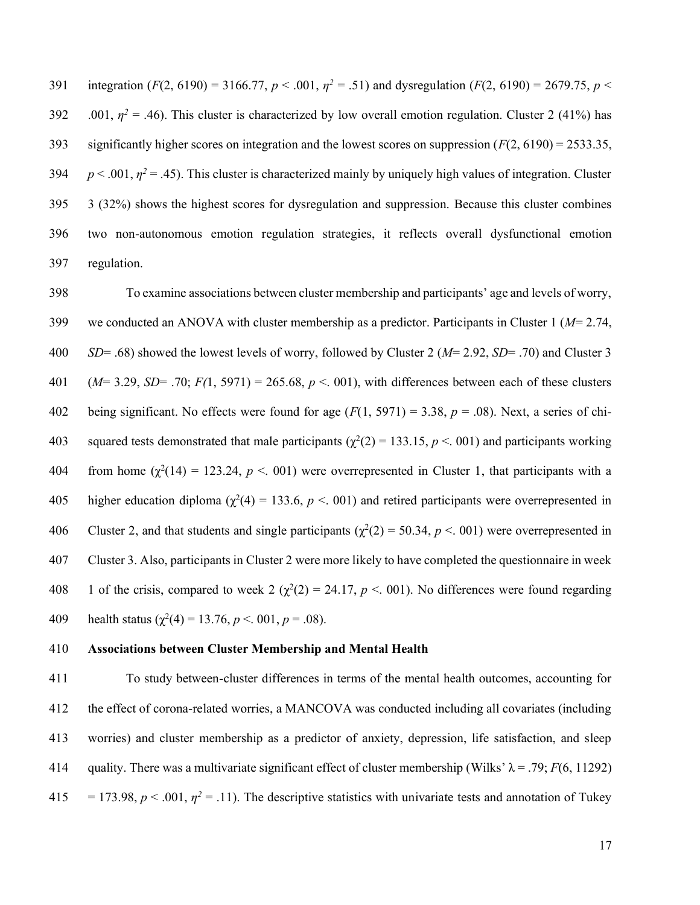391 integration (*F*(2, 6190) = 3166.77,  $p < .001$ ,  $\eta^2 = .51$ ) and dysregulation (*F*(2, 6190) = 2679.75,  $p <$ 392 .001,  $\eta^2$  = .46). This cluster is characterized by low overall emotion regulation. Cluster 2 (41%) has significantly higher scores on integration and the lowest scores on suppression (*F*(2, 6190) = 2533.35,  $p < .001$ ,  $\eta^2 = .45$ ). This cluster is characterized mainly by uniquely high values of integration. Cluster 3 (32%) shows the highest scores for dysregulation and suppression. Because this cluster combines two non-autonomous emotion regulation strategies, it reflects overall dysfunctional emotion regulation.

398 To examine associations between cluster membership and participants' age and levels of worry, 399 we conducted an ANOVA with cluster membership as a predictor. Participants in Cluster 1 (*M*= 2.74, 400 *SD*= .68) showed the lowest levels of worry, followed by Cluster 2 (*M*= 2.92, *SD*= .70) and Cluster 3 401 (*M*= 3.29, *SD*= .70; *F(*1, 5971) = 265.68, *p* <. 001), with differences between each of these clusters 402 being significant. No effects were found for age (*F*(1, 5971) = 3.38, *p* = .08). Next, a series of chi-403 squared tests demonstrated that male participants ( $χ²(2) = 133.15, p < .001$ ) and participants working 404 from home  $(χ<sup>2</sup>(14) = 123.24, p < .001)$  were overrepresented in Cluster 1, that participants with a 405 higher education diploma ( $\chi^2$ (4) = 133.6, *p* < 001) and retired participants were overrepresented in 406 Cluster 2, and that students and single participants ( $χ²(2) = 50.34, p < .001$ ) were overrepresented in 407 Cluster 3. Also, participants in Cluster 2 were more likely to have completed the questionnaire in week 1 of the crisis, compared to week 2 ( $χ²(2) = 24.17, p < .001$ ). No differences were found regarding 409 health status ( $\chi^2(4) = 13.76, p < .001, p = .08$ ).

#### 410 **Associations between Cluster Membership and Mental Health**

411 To study between-cluster differences in terms of the mental health outcomes, accounting for 412 the effect of corona-related worries, a MANCOVA was conducted including all covariates (including 413 worries) and cluster membership as a predictor of anxiety, depression, life satisfaction, and sleep 414 quality. There was a multivariate significant effect of cluster membership (Wilks'  $\lambda = .79$ ; *F*(6, 11292)  $115 = 173.98, p < .001, \eta^2 = .11$ ). The descriptive statistics with univariate tests and annotation of Tukey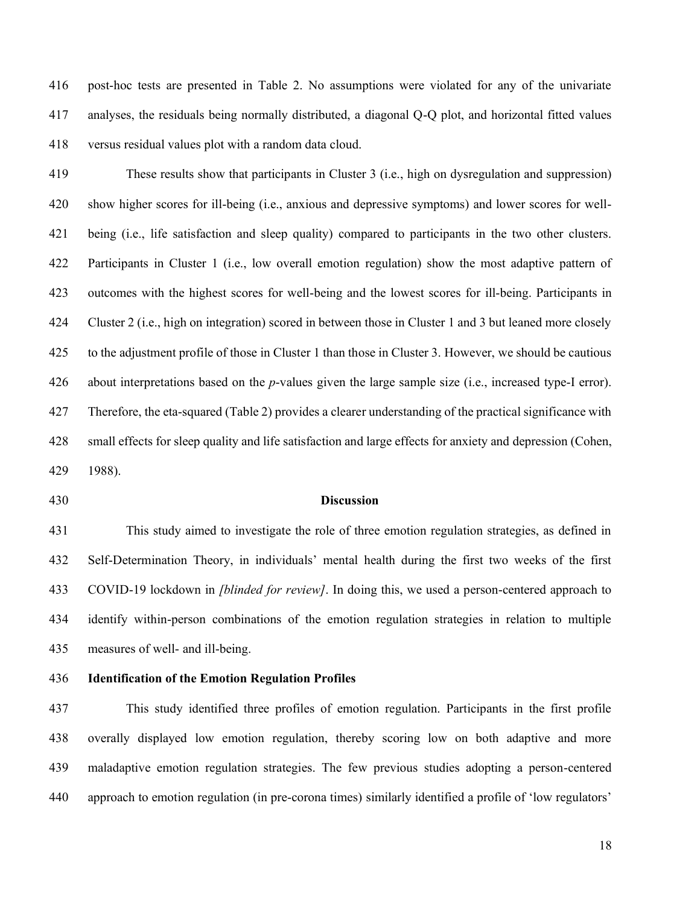post-hoc tests are presented in Table 2. No assumptions were violated for any of the univariate analyses, the residuals being normally distributed, a diagonal Q-Q plot, and horizontal fitted values versus residual values plot with a random data cloud.

 These results show that participants in Cluster 3 (i.e., high on dysregulation and suppression) show higher scores for ill-being (i.e., anxious and depressive symptoms) and lower scores for well- being (i.e., life satisfaction and sleep quality) compared to participants in the two other clusters. Participants in Cluster 1 (i.e., low overall emotion regulation) show the most adaptive pattern of outcomes with the highest scores for well-being and the lowest scores for ill-being. Participants in Cluster 2 (i.e., high on integration) scored in between those in Cluster 1 and 3 but leaned more closely to the adjustment profile of those in Cluster 1 than those in Cluster 3. However, we should be cautious about interpretations based on the *p*-values given the large sample size (i.e., increased type-I error). Therefore, the eta-squared (Table 2) provides a clearer understanding of the practical significance with small effects for sleep quality and life satisfaction and large effects for anxiety and depression (Cohen, 1988).

#### **Discussion**

 This study aimed to investigate the role of three emotion regulation strategies, as defined in Self-Determination Theory, in individuals' mental health during the first two weeks of the first COVID-19 lockdown in *[blinded for review]*. In doing this, we used a person-centered approach to identify within-person combinations of the emotion regulation strategies in relation to multiple measures of well- and ill-being.

**Identification of the Emotion Regulation Profiles**

 This study identified three profiles of emotion regulation. Participants in the first profile overally displayed low emotion regulation, thereby scoring low on both adaptive and more maladaptive emotion regulation strategies. The few previous studies adopting a person-centered approach to emotion regulation (in pre-corona times) similarly identified a profile of 'low regulators'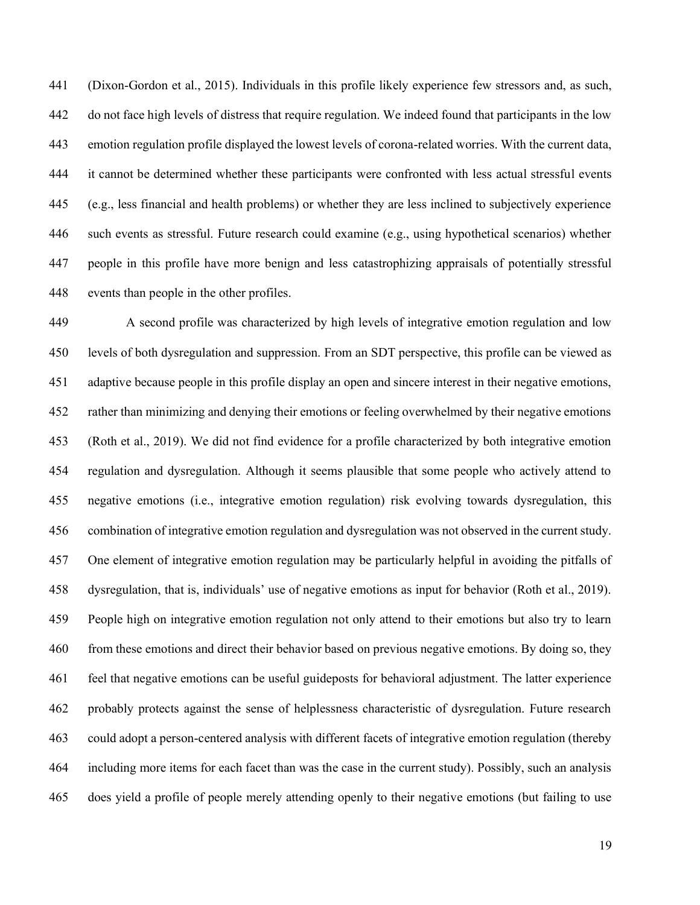(Dixon-Gordon et al., 2015). Individuals in this profile likely experience few stressors and, as such, do not face high levels of distress that require regulation. We indeed found that participants in the low emotion regulation profile displayed the lowest levels of corona-related worries. With the current data, it cannot be determined whether these participants were confronted with less actual stressful events (e.g., less financial and health problems) or whether they are less inclined to subjectively experience such events as stressful. Future research could examine (e.g., using hypothetical scenarios) whether people in this profile have more benign and less catastrophizing appraisals of potentially stressful events than people in the other profiles.

 A second profile was characterized by high levels of integrative emotion regulation and low levels of both dysregulation and suppression. From an SDT perspective, this profile can be viewed as adaptive because people in this profile display an open and sincere interest in their negative emotions, rather than minimizing and denying their emotions or feeling overwhelmed by their negative emotions (Roth et al., 2019). We did not find evidence for a profile characterized by both integrative emotion regulation and dysregulation. Although it seems plausible that some people who actively attend to negative emotions (i.e., integrative emotion regulation) risk evolving towards dysregulation, this combination of integrative emotion regulation and dysregulation was not observed in the current study. One element of integrative emotion regulation may be particularly helpful in avoiding the pitfalls of dysregulation, that is, individuals' use of negative emotions as input for behavior (Roth et al., 2019). People high on integrative emotion regulation not only attend to their emotions but also try to learn from these emotions and direct their behavior based on previous negative emotions. By doing so, they feel that negative emotions can be useful guideposts for behavioral adjustment. The latter experience probably protects against the sense of helplessness characteristic of dysregulation. Future research could adopt a person-centered analysis with different facets of integrative emotion regulation (thereby including more items for each facet than was the case in the current study). Possibly, such an analysis does yield a profile of people merely attending openly to their negative emotions (but failing to use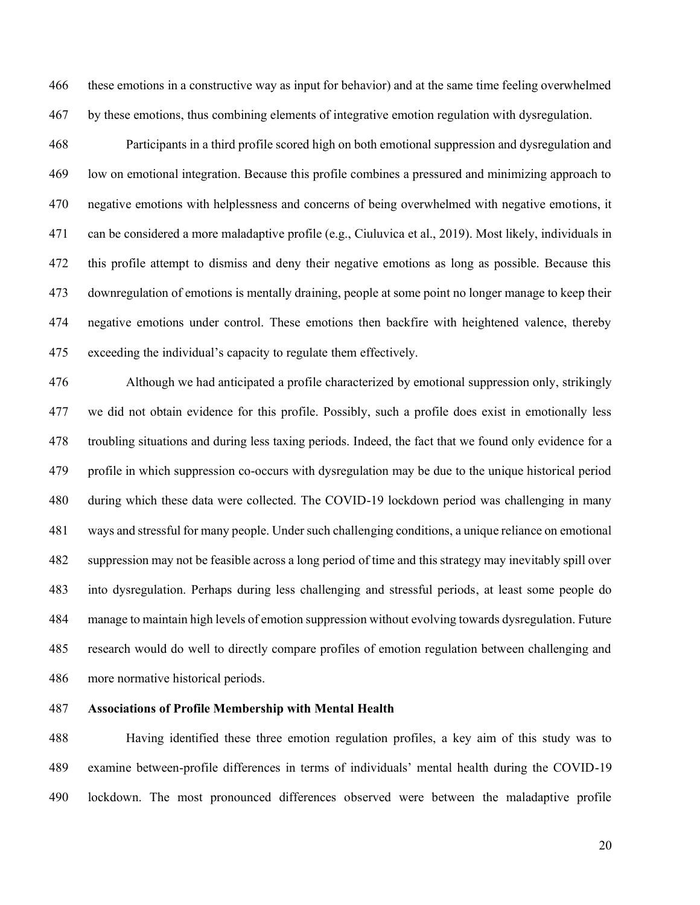these emotions in a constructive way as input for behavior) and at the same time feeling overwhelmed by these emotions, thus combining elements of integrative emotion regulation with dysregulation.

 Participants in a third profile scored high on both emotional suppression and dysregulation and low on emotional integration. Because this profile combines a pressured and minimizing approach to negative emotions with helplessness and concerns of being overwhelmed with negative emotions, it can be considered a more maladaptive profile (e.g., Ciuluvica et al., 2019). Most likely, individuals in this profile attempt to dismiss and deny their negative emotions as long as possible. Because this downregulation of emotions is mentally draining, people at some point no longer manage to keep their negative emotions under control. These emotions then backfire with heightened valence, thereby exceeding the individual's capacity to regulate them effectively.

 Although we had anticipated a profile characterized by emotional suppression only, strikingly we did not obtain evidence for this profile. Possibly, such a profile does exist in emotionally less troubling situations and during less taxing periods. Indeed, the fact that we found only evidence for a profile in which suppression co-occurs with dysregulation may be due to the unique historical period during which these data were collected. The COVID-19 lockdown period was challenging in many ways and stressful for many people. Under such challenging conditions, a unique reliance on emotional suppression may not be feasible across a long period of time and this strategy may inevitably spill over into dysregulation. Perhaps during less challenging and stressful periods, at least some people do manage to maintain high levels of emotion suppression without evolving towards dysregulation. Future research would do well to directly compare profiles of emotion regulation between challenging and more normative historical periods.

# **Associations of Profile Membership with Mental Health**

 Having identified these three emotion regulation profiles, a key aim of this study was to examine between-profile differences in terms of individuals' mental health during the COVID-19 lockdown. The most pronounced differences observed were between the maladaptive profile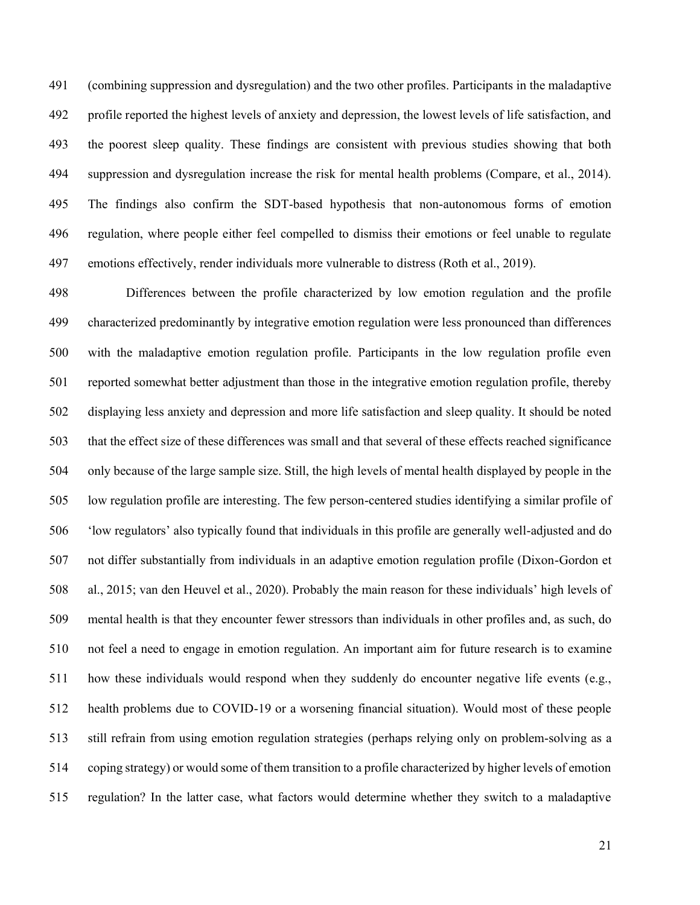(combining suppression and dysregulation) and the two other profiles. Participants in the maladaptive profile reported the highest levels of anxiety and depression, the lowest levels of life satisfaction, and the poorest sleep quality. These findings are consistent with previous studies showing that both suppression and dysregulation increase the risk for mental health problems (Compare, et al., 2014). The findings also confirm the SDT-based hypothesis that non-autonomous forms of emotion regulation, where people either feel compelled to dismiss their emotions or feel unable to regulate emotions effectively, render individuals more vulnerable to distress (Roth et al., 2019).

 Differences between the profile characterized by low emotion regulation and the profile characterized predominantly by integrative emotion regulation were less pronounced than differences with the maladaptive emotion regulation profile. Participants in the low regulation profile even reported somewhat better adjustment than those in the integrative emotion regulation profile, thereby displaying less anxiety and depression and more life satisfaction and sleep quality. It should be noted that the effect size of these differences was small and that several of these effects reached significance only because of the large sample size. Still, the high levels of mental health displayed by people in the low regulation profile are interesting. The few person-centered studies identifying a similar profile of 'low regulators' also typically found that individuals in this profile are generally well-adjusted and do not differ substantially from individuals in an adaptive emotion regulation profile (Dixon-Gordon et al., 2015; van den Heuvel et al., 2020). Probably the main reason for these individuals' high levels of mental health is that they encounter fewer stressors than individuals in other profiles and, as such, do not feel a need to engage in emotion regulation. An important aim for future research is to examine how these individuals would respond when they suddenly do encounter negative life events (e.g., health problems due to COVID-19 or a worsening financial situation). Would most of these people still refrain from using emotion regulation strategies (perhaps relying only on problem-solving as a coping strategy) or would some of them transition to a profile characterized by higher levels of emotion regulation? In the latter case, what factors would determine whether they switch to a maladaptive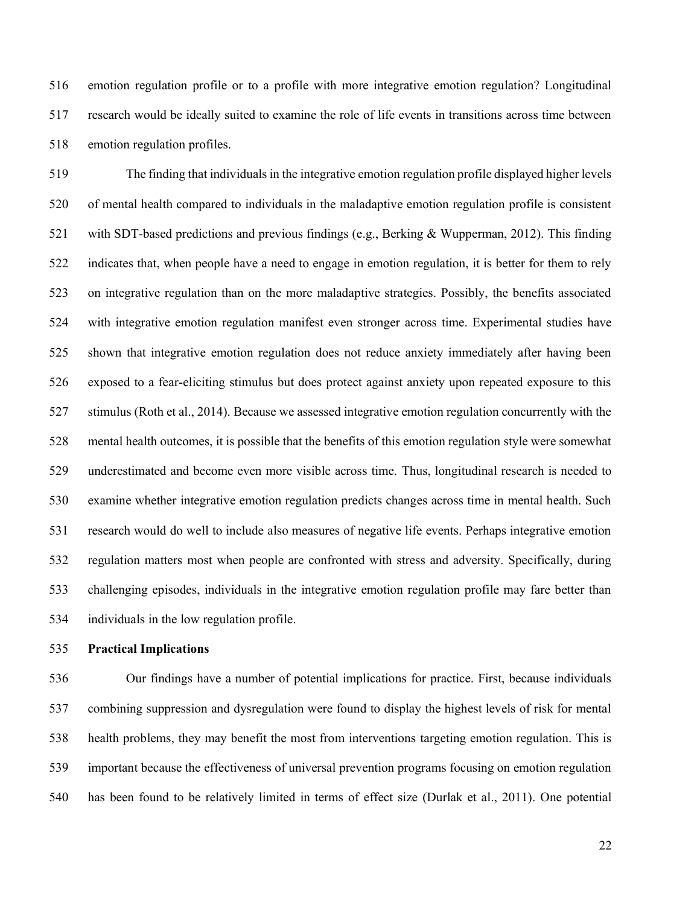emotion regulation profile or to a profile with more integrative emotion regulation? Longitudinal research would be ideally suited to examine the role of life events in transitions across time between emotion regulation profiles.

 The finding that individuals in the integrative emotion regulation profile displayed higher levels of mental health compared to individuals in the maladaptive emotion regulation profile is consistent with SDT-based predictions and previous findings (e.g., Berking & Wupperman, 2012). This finding indicates that, when people have a need to engage in emotion regulation, it is better for them to rely on integrative regulation than on the more maladaptive strategies. Possibly, the benefits associated with integrative emotion regulation manifest even stronger across time. Experimental studies have shown that integrative emotion regulation does not reduce anxiety immediately after having been exposed to a fear-eliciting stimulus but does protect against anxiety upon repeated exposure to this stimulus (Roth et al., 2014). Because we assessed integrative emotion regulation concurrently with the mental health outcomes, it is possible that the benefits of this emotion regulation style were somewhat underestimated and become even more visible across time. Thus, longitudinal research is needed to examine whether integrative emotion regulation predicts changes across time in mental health. Such research would do well to include also measures of negative life events. Perhaps integrative emotion regulation matters most when people are confronted with stress and adversity. Specifically, during challenging episodes, individuals in the integrative emotion regulation profile may fare better than individuals in the low regulation profile.

#### **Practical Implications**

 Our findings have a number of potential implications for practice. First, because individuals combining suppression and dysregulation were found to display the highest levels of risk for mental health problems, they may benefit the most from interventions targeting emotion regulation. This is important because the effectiveness of universal prevention programs focusing on emotion regulation has been found to be relatively limited in terms of effect size (Durlak et al., 2011). One potential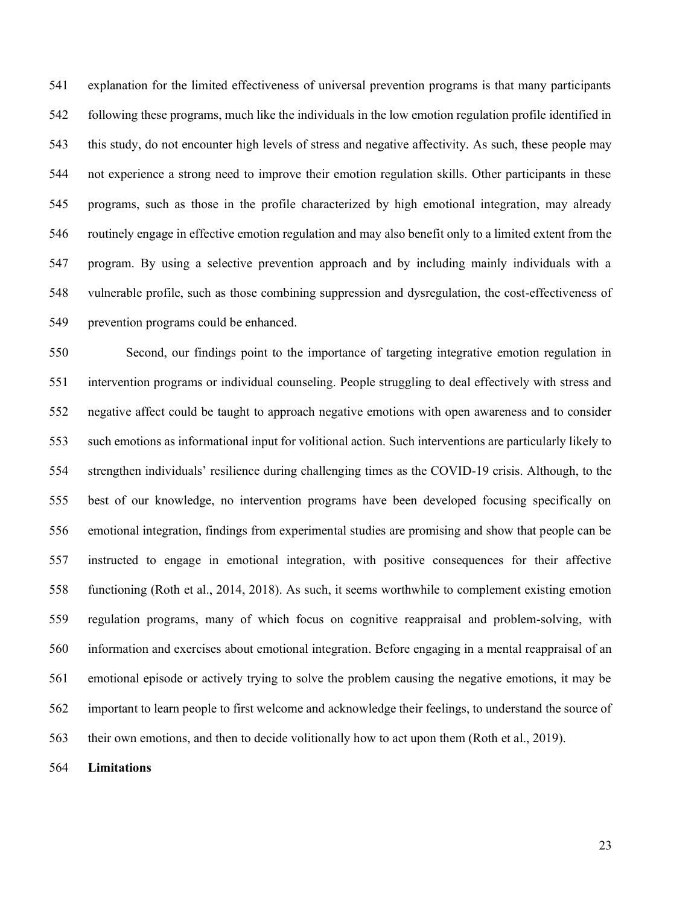explanation for the limited effectiveness of universal prevention programs is that many participants following these programs, much like the individuals in the low emotion regulation profile identified in this study, do not encounter high levels of stress and negative affectivity. As such, these people may not experience a strong need to improve their emotion regulation skills. Other participants in these programs, such as those in the profile characterized by high emotional integration, may already routinely engage in effective emotion regulation and may also benefit only to a limited extent from the program. By using a selective prevention approach and by including mainly individuals with a vulnerable profile, such as those combining suppression and dysregulation, the cost-effectiveness of prevention programs could be enhanced.

 Second, our findings point to the importance of targeting integrative emotion regulation in intervention programs or individual counseling. People struggling to deal effectively with stress and negative affect could be taught to approach negative emotions with open awareness and to consider such emotions as informational input for volitional action. Such interventions are particularly likely to strengthen individuals' resilience during challenging times as the COVID-19 crisis. Although, to the best of our knowledge, no intervention programs have been developed focusing specifically on emotional integration, findings from experimental studies are promising and show that people can be instructed to engage in emotional integration, with positive consequences for their affective functioning (Roth et al., 2014, 2018). As such, it seems worthwhile to complement existing emotion regulation programs, many of which focus on cognitive reappraisal and problem-solving, with information and exercises about emotional integration. Before engaging in a mental reappraisal of an emotional episode or actively trying to solve the problem causing the negative emotions, it may be important to learn people to first welcome and acknowledge their feelings, to understand the source of their own emotions, and then to decide volitionally how to act upon them (Roth et al., 2019).

**Limitations**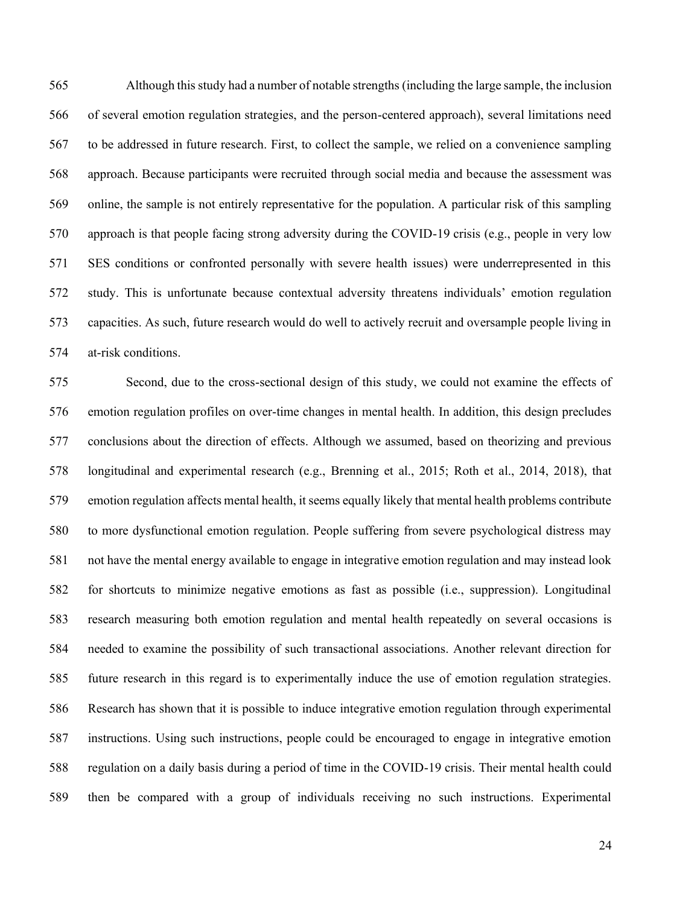Although this study had a number of notable strengths (including the large sample, the inclusion of several emotion regulation strategies, and the person-centered approach), several limitations need to be addressed in future research. First, to collect the sample, we relied on a convenience sampling approach. Because participants were recruited through social media and because the assessment was online, the sample is not entirely representative for the population. A particular risk of this sampling approach is that people facing strong adversity during the COVID-19 crisis (e.g., people in very low SES conditions or confronted personally with severe health issues) were underrepresented in this study. This is unfortunate because contextual adversity threatens individuals' emotion regulation capacities. As such, future research would do well to actively recruit and oversample people living in at-risk conditions.

 Second, due to the cross-sectional design of this study, we could not examine the effects of emotion regulation profiles on over-time changes in mental health. In addition, this design precludes conclusions about the direction of effects. Although we assumed, based on theorizing and previous longitudinal and experimental research (e.g., Brenning et al., 2015; Roth et al., 2014, 2018), that emotion regulation affects mental health, it seems equally likely that mental health problems contribute to more dysfunctional emotion regulation. People suffering from severe psychological distress may not have the mental energy available to engage in integrative emotion regulation and may instead look for shortcuts to minimize negative emotions as fast as possible (i.e., suppression). Longitudinal research measuring both emotion regulation and mental health repeatedly on several occasions is needed to examine the possibility of such transactional associations. Another relevant direction for future research in this regard is to experimentally induce the use of emotion regulation strategies. Research has shown that it is possible to induce integrative emotion regulation through experimental instructions. Using such instructions, people could be encouraged to engage in integrative emotion regulation on a daily basis during a period of time in the COVID-19 crisis. Their mental health could then be compared with a group of individuals receiving no such instructions. Experimental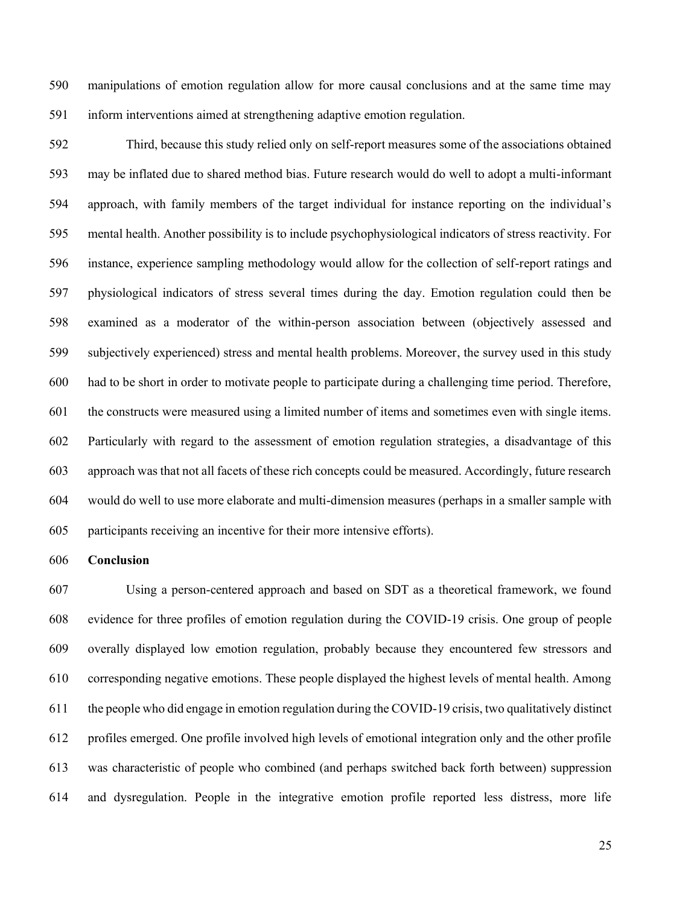manipulations of emotion regulation allow for more causal conclusions and at the same time may inform interventions aimed at strengthening adaptive emotion regulation.

 Third, because this study relied only on self-report measures some of the associations obtained may be inflated due to shared method bias. Future research would do well to adopt a multi-informant approach, with family members of the target individual for instance reporting on the individual's mental health. Another possibility is to include psychophysiological indicators of stress reactivity. For instance, experience sampling methodology would allow for the collection of self-report ratings and physiological indicators of stress several times during the day. Emotion regulation could then be examined as a moderator of the within-person association between (objectively assessed and subjectively experienced) stress and mental health problems. Moreover, the survey used in this study had to be short in order to motivate people to participate during a challenging time period. Therefore, the constructs were measured using a limited number of items and sometimes even with single items. Particularly with regard to the assessment of emotion regulation strategies, a disadvantage of this approach was that not all facets of these rich concepts could be measured. Accordingly, future research would do well to use more elaborate and multi-dimension measures (perhaps in a smaller sample with participants receiving an incentive for their more intensive efforts).

## **Conclusion**

 Using a person-centered approach and based on SDT as a theoretical framework, we found evidence for three profiles of emotion regulation during the COVID-19 crisis. One group of people overally displayed low emotion regulation, probably because they encountered few stressors and corresponding negative emotions. These people displayed the highest levels of mental health. Among the people who did engage in emotion regulation during the COVID-19 crisis, two qualitatively distinct profiles emerged. One profile involved high levels of emotional integration only and the other profile was characteristic of people who combined (and perhaps switched back forth between) suppression and dysregulation. People in the integrative emotion profile reported less distress, more life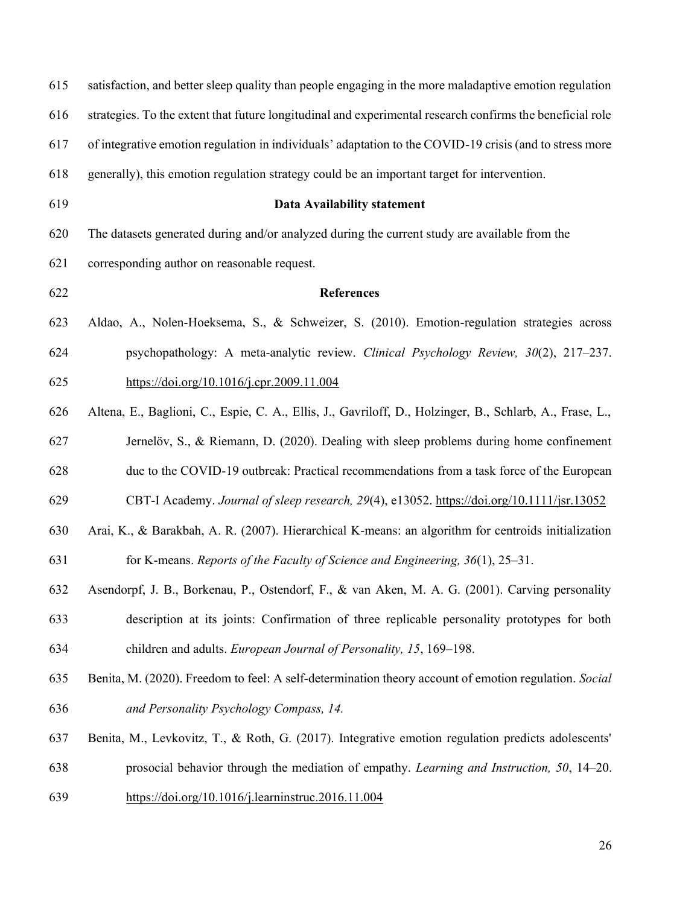| 615 | satisfaction, and better sleep quality than people engaging in the more maladaptive emotion regulation    |
|-----|-----------------------------------------------------------------------------------------------------------|
| 616 | strategies. To the extent that future longitudinal and experimental research confirms the beneficial role |
| 617 | of integrative emotion regulation in individuals' adaptation to the COVID-19 crisis (and to stress more   |
| 618 | generally), this emotion regulation strategy could be an important target for intervention.               |
| 619 | <b>Data Availability statement</b>                                                                        |
| 620 | The datasets generated during and/or analyzed during the current study are available from the             |
| 621 | corresponding author on reasonable request.                                                               |
| 622 | <b>References</b>                                                                                         |
| 623 | Aldao, A., Nolen-Hoeksema, S., & Schweizer, S. (2010). Emotion-regulation strategies across               |
| 624 | psychopathology: A meta-analytic review. Clinical Psychology Review, $30(2)$ , $217-237$ .                |
| 625 | https://doi.org/10.1016/j.cpr.2009.11.004                                                                 |
| 626 | Altena, E., Baglioni, C., Espie, C. A., Ellis, J., Gavriloff, D., Holzinger, B., Schlarb, A., Frase, L.,  |
| 627 | Jernelöv, S., & Riemann, D. (2020). Dealing with sleep problems during home confinement                   |
| 628 | due to the COVID-19 outbreak: Practical recommendations from a task force of the European                 |
| 629 | CBT-I Academy. Journal of sleep research, 29(4), e13052. https://doi.org/10.1111/jsr.13052                |
| 630 | Arai, K., & Barakbah, A. R. (2007). Hierarchical K-means: an algorithm for centroids initialization       |
| 631 | for K-means. Reports of the Faculty of Science and Engineering, $36(1)$ , $25-31$ .                       |
| 632 | Asendorpf, J. B., Borkenau, P., Ostendorf, F., & van Aken, M. A. G. (2001). Carving personality           |
| 633 | description at its joints: Confirmation of three replicable personality prototypes for both               |
| 634 | children and adults. European Journal of Personality, 15, 169–198.                                        |
| 635 | Benita, M. (2020). Freedom to feel: A self-determination theory account of emotion regulation. Social     |
| 636 | and Personality Psychology Compass, 14.                                                                   |
| 637 | Benita, M., Levkovitz, T., & Roth, G. (2017). Integrative emotion regulation predicts adolescents'        |
| 638 | prosocial behavior through the mediation of empathy. Learning and Instruction, 50, 14–20.                 |
| 639 | https://doi.org/10.1016/j.learninstruc.2016.11.004                                                        |
|     |                                                                                                           |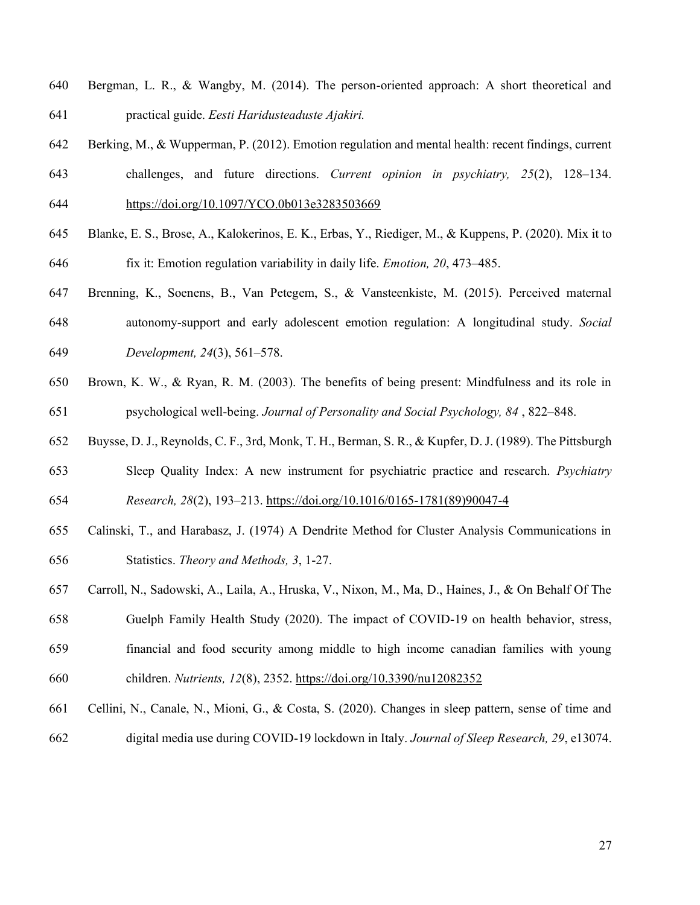- Bergman, L. R., & Wangby, M. (2014). The person-oriented approach: A short theoretical and practical guide. *Eesti Haridusteaduste Ajakiri.*
- Berking, M., & Wupperman, P. (2012). Emotion regulation and mental health: recent findings, current challenges, and future directions. *Current opinion in psychiatry, 25*(2), 128–134. https://doi.org/10.1097/YCO.0b013e3283503669
- Blanke, E. S., Brose, A., Kalokerinos, E. K., Erbas, Y., Riediger, M., & Kuppens, P. (2020). Mix it to fix it: Emotion regulation variability in daily life. *Emotion, 20*, 473–485.
- Brenning, K., Soenens, B., Van Petegem, S., & Vansteenkiste, M. (2015). Perceived maternal autonomy-support and early adolescent emotion regulation: A longitudinal study. *Social Development, 24*(3), 561–578.
- Brown, K. W., & Ryan, R. M. (2003). The benefits of being present: Mindfulness and its role in psychological well-being. *Journal of Personality and Social Psychology, 84* , 822–848.
- Buysse, D. J., Reynolds, C. F., 3rd, Monk, T. H., Berman, S. R., & Kupfer, D. J. (1989). The Pittsburgh Sleep Quality Index: A new instrument for psychiatric practice and research. *Psychiatry*
- *Research, 28*(2), 193–213. https://doi.org/10.1016/0165-1781(89)90047-4
- Calinski, T., and Harabasz, J. (1974) A Dendrite Method for Cluster Analysis Communications in Statistics. *Theory and Methods, 3*, 1-27.
- Carroll, N., Sadowski, A., Laila, A., Hruska, V., Nixon, M., Ma, D., Haines, J., & On Behalf Of The Guelph Family Health Study (2020). The impact of COVID-19 on health behavior, stress, financial and food security among middle to high income canadian families with young
- children. *Nutrients, 12*(8), 2352. https://doi.org/10.3390/nu12082352
- Cellini, N., Canale, N., Mioni, G., & Costa, S. (2020). Changes in sleep pattern, sense of time and digital media use during COVID‐19 lockdown in Italy. *Journal of Sleep Research, 29*, e13074.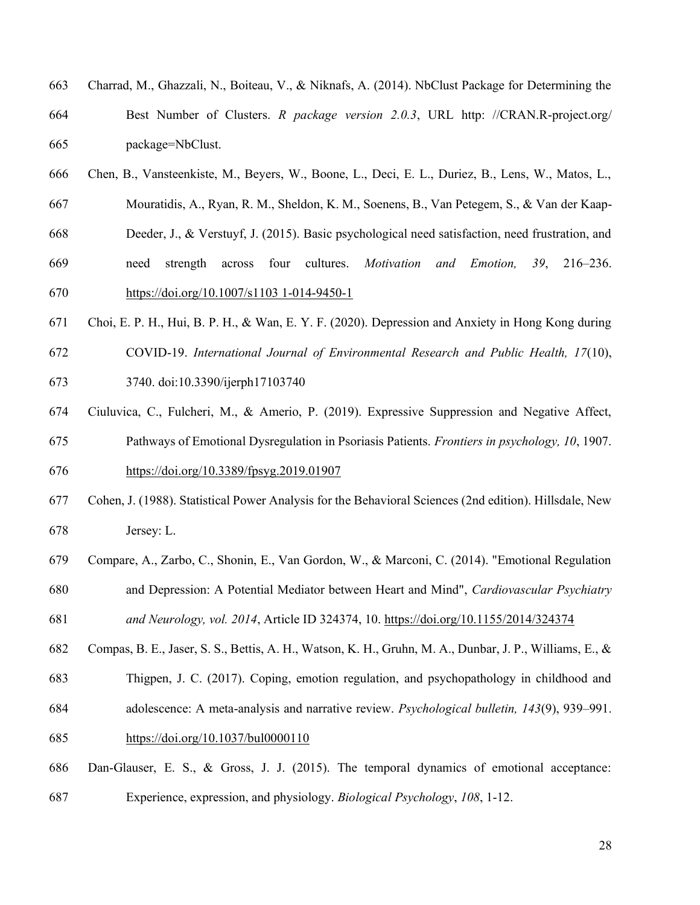- Charrad, M., Ghazzali, N., Boiteau, V., & Niknafs, A. (2014). NbClust Package for Determining the Best Number of Clusters. *R package version 2.0.3*, URL http: //CRAN.R-project.org/ package=NbClust.
- Chen, B., Vansteenkiste, M., Beyers, W., Boone, L., Deci, E. L., Duriez, B., Lens, W., Matos, L.,
- Mouratidis, A., Ryan, R. M., Sheldon, K. M., Soenens, B., Van Petegem, S., & Van der Kaap-
- Deeder, J., & Verstuyf, J. (2015). Basic psychological need satisfaction, need frustration, and
- need strength across four cultures. *Motivation and Emotion, 39*, 216–236. https://doi.org/10.1007/s1103 1-014-9450-1
- Choi, E. P. H., Hui, B. P. H., & Wan, E. Y. F. (2020). Depression and Anxiety in Hong Kong during COVID-19. *International Journal of Environmental Research and Public Health, 17*(10),
- 
- 3740. doi:10.3390/ijerph17103740
- Ciuluvica, C., Fulcheri, M., & Amerio, P. (2019). Expressive Suppression and Negative Affect, Pathways of Emotional Dysregulation in Psoriasis Patients. *Frontiers in psychology, 10*, 1907. https://doi.org/10.3389/fpsyg.2019.01907
- Cohen, J. (1988). Statistical Power Analysis for the Behavioral Sciences (2nd edition). Hillsdale, New Jersey: L.
- Compare, A., Zarbo, C., Shonin, E., Van Gordon, W., & Marconi, C. (2014). "Emotional Regulation and Depression: A Potential Mediator between Heart and Mind", *Cardiovascular Psychiatry*
- *and Neurology, vol. 2014*, Article ID 324374, 10. https://doi.org/10.1155/2014/324374
- Compas, B. E., Jaser, S. S., Bettis, A. H., Watson, K. H., Gruhn, M. A., Dunbar, J. P., Williams, E., &
- Thigpen, J. C. (2017). Coping, emotion regulation, and psychopathology in childhood and
- adolescence: A meta-analysis and narrative review. *Psychological bulletin, 143*(9), 939–991.
- https://doi.org/10.1037/bul0000110
- Dan-Glauser, E. S., & Gross, J. J. (2015). The temporal dynamics of emotional acceptance: Experience, expression, and physiology. *Biological Psychology*, *108*, 1-12.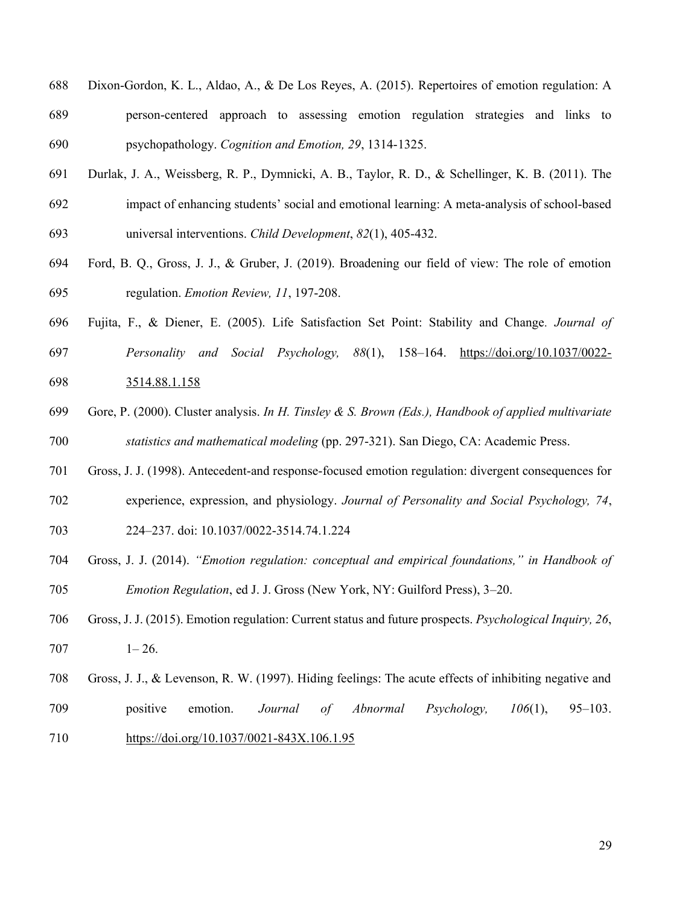- Dixon-Gordon, K. L., Aldao, A., & De Los Reyes, A. (2015). Repertoires of emotion regulation: A person-centered approach to assessing emotion regulation strategies and links to psychopathology. *Cognition and Emotion, 29*, 1314-1325.
- Durlak, J. A., Weissberg, R. P., Dymnicki, A. B., Taylor, R. D., & Schellinger, K. B. (2011). The impact of enhancing students' social and emotional learning: A meta‐analysis of school‐based universal interventions. *Child Development*, *82*(1), 405-432.
- Ford, B. Q., Gross, J. J., & Gruber, J. (2019). Broadening our field of view: The role of emotion regulation. *Emotion Review, 11*, 197-208.
- Fujita, F., & Diener, E. (2005). Life Satisfaction Set Point: Stability and Change*. Journal of Personality and Social Psychology, 88*(1), 158–164. https://doi.org/10.1037/0022-
- 3514.88.1.158
- Gore, P. (2000). Cluster analysis. *In H. Tinsley & S. Brown (Eds.), Handbook of applied multivariate statistics and mathematical modeling* (pp. 297-321). San Diego, CA: Academic Press.
- Gross, J. J. (1998). Antecedent-and response-focused emotion regulation: divergent consequences for
- experience, expression, and physiology. *Journal of Personality and Social Psychology, 74*,
- 224–237. doi: 10.1037/0022-3514.74.1.224
- Gross, J. J. (2014). *"Emotion regulation: conceptual and empirical foundations," in Handbook of Emotion Regulation*, ed J. J. Gross (New York, NY: Guilford Press), 3–20.
- Gross, J. J. (2015). Emotion regulation: Current status and future prospects. *Psychological Inquiry, 26*, 1–26.
- Gross, J. J., & Levenson, R. W. (1997). Hiding feelings: The acute effects of inhibiting negative and
- positive emotion. *Journal of Abnormal Psychology, 106*(1), 95–103. https://doi.org/10.1037/0021-843X.106.1.95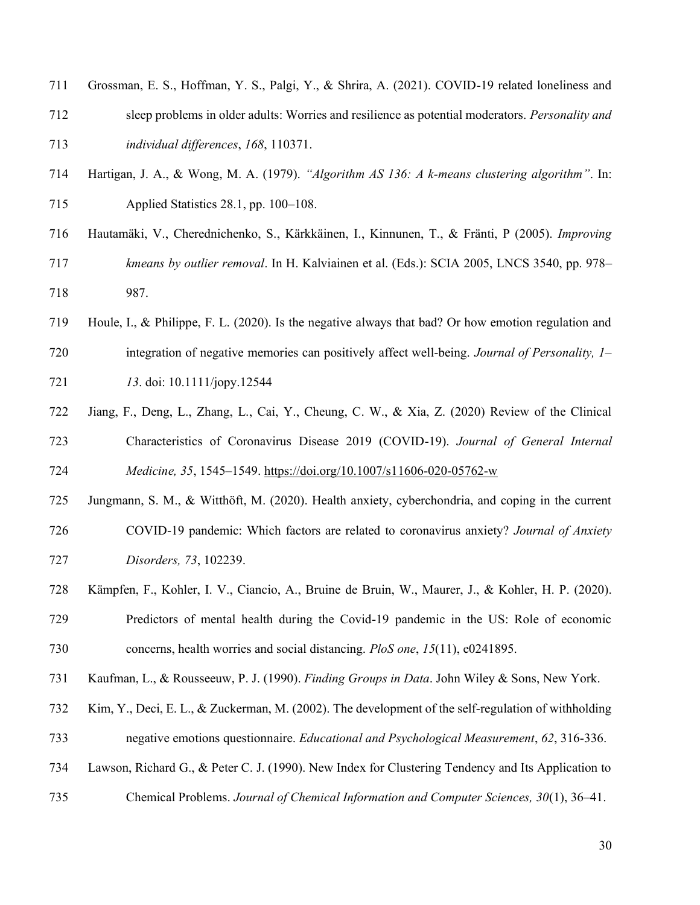- Grossman, E. S., Hoffman, Y. S., Palgi, Y., & Shrira, A. (2021). COVID-19 related loneliness and
- sleep problems in older adults: Worries and resilience as potential moderators. *Personality and individual differences*, *168*, 110371.
- Hartigan, J. A., & Wong, M. A. (1979). *"Algorithm AS 136: A k-means clustering algorithm"*. In: Applied Statistics 28.1, pp. 100–108.
- Hautamaki, V., Cherednichenko, S., Karkkainen, I., Kinnunen, T., & Franti, P (2005). *Improving kmeans by outlier removal*. In H. Kalviainen et al. (Eds.): SCIA 2005, LNCS 3540, pp. 978– 987.
- Houle, I., & Philippe, F. L. (2020). Is the negative always that bad? Or how emotion regulation and integration of negative memories can positively affect well‐being. *Journal of Personality, 1–*
- *13*. doi: 10.1111/jopy.12544
- Jiang, F., Deng, L., Zhang, L., Cai, Y., Cheung, C. W., & Xia, Z. (2020) Review of the Clinical Characteristics of Coronavirus Disease 2019 (COVID-19). *Journal of General Internal Medicine, 35*, 1545–1549. https://doi.org/10.1007/s11606-020-05762-w
- Jungmann, S. M., & Witthöft, M. (2020). Health anxiety, cyberchondria, and coping in the current COVID-19 pandemic: Which factors are related to coronavirus anxiety? *Journal of Anxiety Disorders, 73*, 102239.
- Kämpfen, F., Kohler, I. V., Ciancio, A., Bruine de Bruin, W., Maurer, J., & Kohler, H. P. (2020). Predictors of mental health during the Covid-19 pandemic in the US: Role of economic concerns, health worries and social distancing. *PloS one*, *15*(11), e0241895.
- Kaufman, L., & Rousseeuw, P. J. (1990). *Finding Groups in Data*. John Wiley & Sons, New York.
- Kim, Y., Deci, E. L., & Zuckerman, M. (2002). The development of the self-regulation of withholding negative emotions questionnaire. *Educational and Psychological Measurement*, *62*, 316-336.
- Lawson, Richard G., & Peter C. J. (1990). New Index for Clustering Tendency and Its Application to
- Chemical Problems. *Journal of Chemical Information and Computer Sciences, 30*(1), 36–41.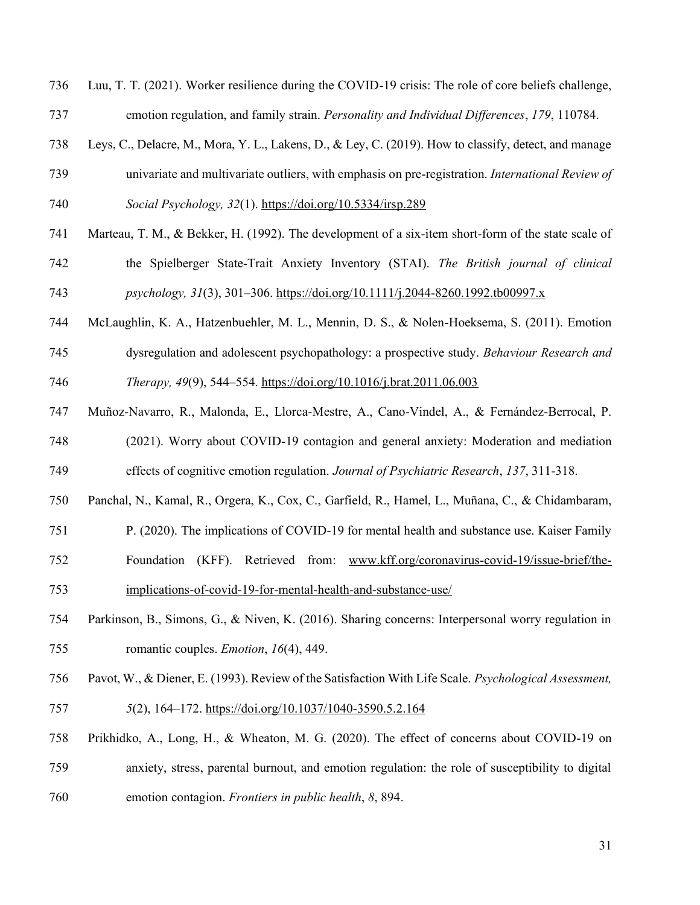Luu, T. T. (2021). Worker resilience during the COVID-19 crisis: The role of core beliefs challenge, emotion regulation, and family strain. *Personality and Individual Differences*, *179*, 110784.

- Leys, C., Delacre, M., Mora, Y. L., Lakens, D., & Ley, C. (2019). How to classify, detect, and manage univariate and multivariate outliers, with emphasis on pre-registration. *International Review of*
- *Social Psychology, 32*(1). https://doi.org/10.5334/irsp.289
- Marteau, T. M., & Bekker, H. (1992). The development of a six-item short-form of the state scale of the Spielberger State-Trait Anxiety Inventory (STAI). *The British journal of clinical psychology, 31*(3), 301–306. https://doi.org/10.1111/j.2044-8260.1992.tb00997.x
- McLaughlin, K. A., Hatzenbuehler, M. L., Mennin, D. S., & Nolen-Hoeksema, S. (2011). Emotion
- dysregulation and adolescent psychopathology: a prospective study. *Behaviour Research and Therapy, 49*(9), 544–554. https://doi.org/10.1016/j.brat.2011.06.003
- Muñoz-Navarro, R., Malonda, E., Llorca-Mestre, A., Cano-Vindel, A., & Fernández-Berrocal, P.

 (2021). Worry about COVID-19 contagion and general anxiety: Moderation and mediation effects of cognitive emotion regulation. *Journal of Psychiatric Research*, *137*, 311-318.

Panchal, N., Kamal, R., Orgera, K., Cox, C., Garfield, R., Hamel, L., Muñana, C., & Chidambaram,

P. (2020). The implications of COVID-19 for mental health and substance use. Kaiser Family

- Foundation (KFF). Retrieved from: www.kff.org/coronavirus-covid-19/issue-brief/the-implications-of-covid-19-for-mental-health-and-substance-use/
- Parkinson, B., Simons, G., & Niven, K. (2016). Sharing concerns: Interpersonal worry regulation in romantic couples. *Emotion*, *16*(4), 449.
- Pavot, W., & Diener, E. (1993). Review of the Satisfaction With Life Scale. *Psychological Assessment, 5*(2), 164–172. https://doi.org/10.1037/1040-3590.5.2.164
- Prikhidko, A., Long, H., & Wheaton, M. G. (2020). The effect of concerns about COVID-19 on anxiety, stress, parental burnout, and emotion regulation: the role of susceptibility to digital emotion contagion. *Frontiers in public health*, *8*, 894.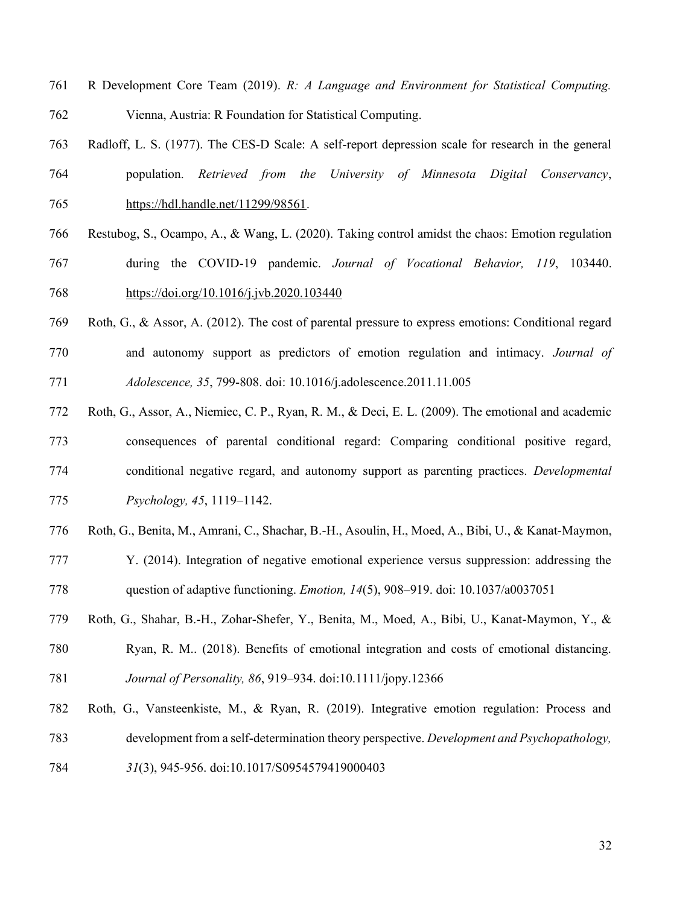- R Development Core Team (2019). *R: A Language and Environment for Statistical Computing.* Vienna, Austria: R Foundation for Statistical Computing.
- Radloff, L. S. (1977). The CES-D Scale: A self-report depression scale for research in the general population. *Retrieved from the University of Minnesota Digital Conservancy*, https://hdl.handle.net/11299/98561.
- Restubog, S., Ocampo, A., & Wang, L. (2020). Taking control amidst the chaos: Emotion regulation
- during the COVID-19 pandemic. *Journal of Vocational Behavior, 119*, 103440. https://doi.org/10.1016/j.jvb.2020.103440
- Roth, G., & Assor, A. (2012). The cost of parental pressure to express emotions: Conditional regard and autonomy support as predictors of emotion regulation and intimacy. *Journal of Adolescence, 35*, 799-808. doi: 10.1016/j.adolescence.2011.11.005
- Roth, G., Assor, A., Niemiec, C. P., Ryan, R. M., & Deci, E. L. (2009). The emotional and academic consequences of parental conditional regard: Comparing conditional positive regard, conditional negative regard, and autonomy support as parenting practices. *Developmental Psychology, 45*, 1119–1142.
- Roth, G., Benita, M., Amrani, C., Shachar, B.-H., Asoulin, H., Moed, A., Bibi, U., & Kanat-Maymon,
- Y. (2014). Integration of negative emotional experience versus suppression: addressing the question of adaptive functioning. *Emotion, 14*(5), 908–919. doi: 10.1037/a0037051
- Roth, G., Shahar, B.-H., Zohar-Shefer, Y., Benita, M., Moed, A., Bibi, U., Kanat-Maymon, Y., &
- Ryan, R. M.. (2018). Benefits of emotional integration and costs of emotional distancing.
- *Journal of Personality, 86*, 919–934. doi:10.1111/jopy.12366
- Roth, G., Vansteenkiste, M., & Ryan, R. (2019). Integrative emotion regulation: Process and development from a self-determination theory perspective. *Development and Psychopathology,*
- *31*(3), 945-956. doi:10.1017/S0954579419000403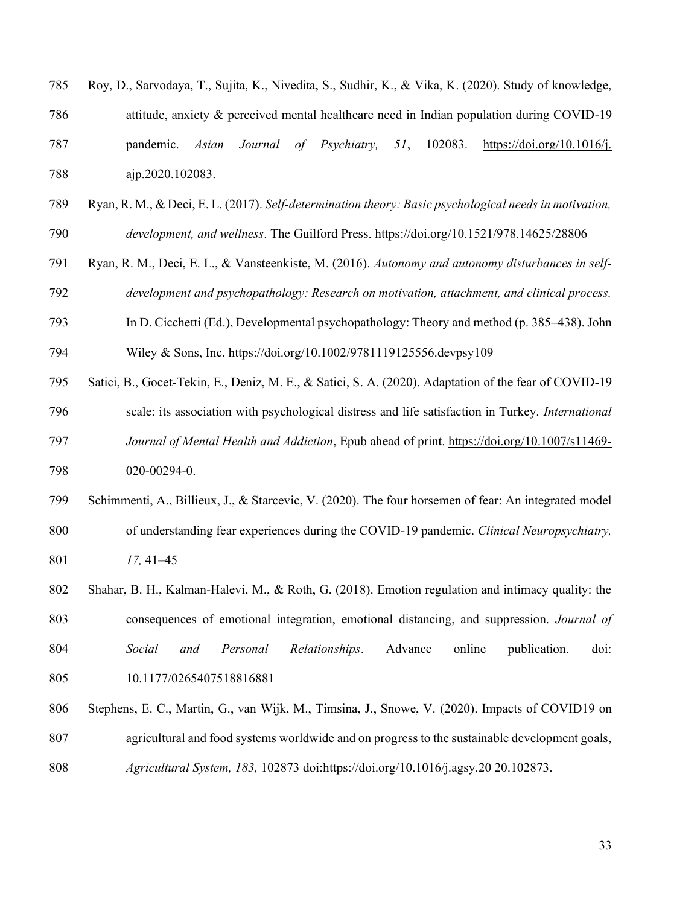| 785 |                  |  |  |  | Roy, D., Sarvodaya, T., Sujita, K., Nivedita, S., Sudhir, K., & Vika, K. (2020). Study of knowledge, |  |
|-----|------------------|--|--|--|------------------------------------------------------------------------------------------------------|--|
| 786 |                  |  |  |  | attitude, anxiety & perceived mental healthcare need in Indian population during COVID-19            |  |
| 787 |                  |  |  |  | pandemic. Asian Journal of Psychiatry, 51, 102083. https://doi.org/10.1016/j.                        |  |
| 788 | ajp.2020.102083. |  |  |  |                                                                                                      |  |

- Ryan, R. M., & Deci, E. L. (2017). *Self-determination theory: Basic psychological needs in motivation,*
- *development, and wellness*. The Guilford Press. https://doi.org/10.1521/978.14625/28806
- Ryan, R. M., Deci, E. L., & Vansteenkiste, M. (2016). *Autonomy and autonomy disturbances in self-development and psychopathology: Research on motivation, attachment, and clinical process.*
- In D. Cicchetti (Ed.), Developmental psychopathology: Theory and method (p. 385–438). John

Wiley & Sons, Inc. https://doi.org/10.1002/9781119125556.devpsy109

- Satici, B., Gocet-Tekin, E., Deniz, M. E., & Satici, S. A. (2020). Adaptation of the fear of COVID-19
- scale: its association with psychological distress and life satisfaction in Turkey. *International Journal of Mental Health and Addiction*, Epub ahead of print. https://doi.org/10.1007/s11469- 020-00294-0.
- Schimmenti, A., Billieux, J., & Starcevic, V. (2020). The four horsemen of fear: An integrated model of understanding fear experiences during the COVID-19 pandemic. *Clinical Neuropsychiatry, 17,* 41–45
- Shahar, B. H., Kalman-Halevi, M., & Roth, G. (2018). Emotion regulation and intimacy quality: the consequences of emotional integration, emotional distancing, and suppression. *Journal of Social and Personal Relationships*. Advance online publication. doi:
- 10.1177/0265407518816881
- Stephens, E. C., Martin, G., van Wijk, M., Timsina, J., Snowe, V. (2020). Impacts of COVID19 on
- agricultural and food systems worldwide and on progress to the sustainable development goals,
- *Agricultural System, 183,* 102873 doi:https://doi.org/10.1016/j.agsy.20 20.102873.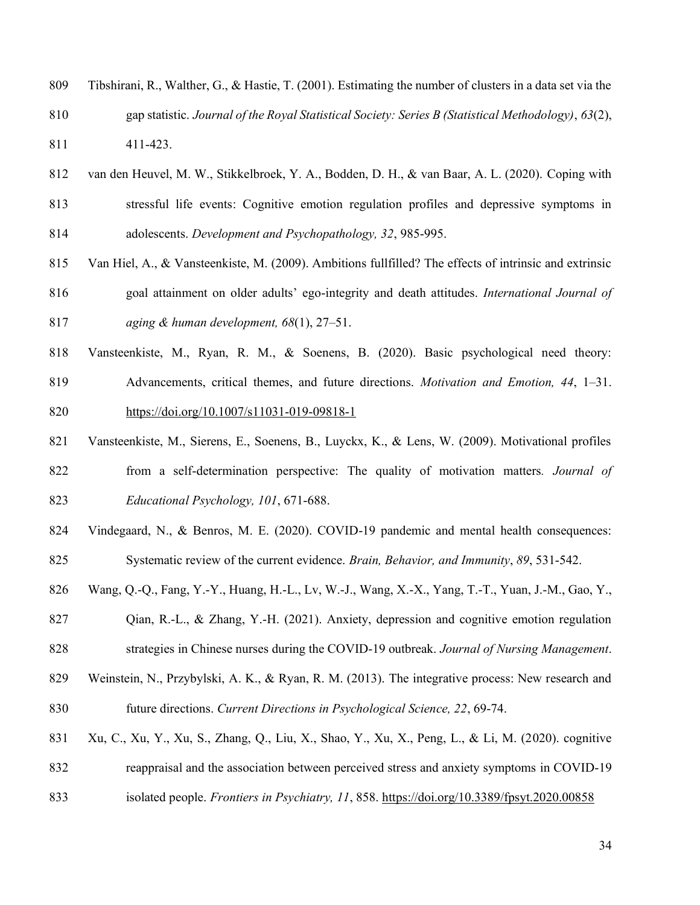- Tibshirani, R., Walther, G., & Hastie, T. (2001). Estimating the number of clusters in a data set via the gap statistic. *Journal of the Royal Statistical Society: Series B (Statistical Methodology)*, *63*(2),
- 411-423.
- van den Heuvel, M. W., Stikkelbroek, Y. A., Bodden, D. H., & van Baar, A. L. (2020). Coping with stressful life events: Cognitive emotion regulation profiles and depressive symptoms in adolescents. *Development and Psychopathology, 32*, 985-995.
- Van Hiel, A., & Vansteenkiste, M. (2009). Ambitions fullfilled? The effects of intrinsic and extrinsic goal attainment on older adults' ego-integrity and death attitudes. *International Journal of aging & human development, 68*(1), 27–51.
- Vansteenkiste, M., Ryan, R. M., & Soenens, B. (2020). Basic psychological need theory: Advancements, critical themes, and future directions. *Motivation and Emotion, 44*, 1–31.
- https://doi.org/10.1007/s11031-019-09818-1
- Vansteenkiste, M., Sierens, E., Soenens, B., Luyckx, K., & Lens, W. (2009). Motivational profiles from a self-determination perspective: The quality of motivation matters*. Journal of Educational Psychology, 101*, 671-688.
- Vindegaard, N., & Benros, M. E. (2020). COVID-19 pandemic and mental health consequences: Systematic review of the current evidence. *Brain, Behavior, and Immunity*, *89*, 531-542.
- Wang, Q.-Q., Fang, Y.-Y., Huang, H.-L., Lv, W.-J., Wang, X.-X., Yang, T.-T., Yuan, J.-M., Gao, Y.,
- Qian, R.-L., & Zhang, Y.-H. (2021). Anxiety, depression and cognitive emotion regulation strategies in Chinese nurses during the COVID‐19 outbreak. *Journal of Nursing Management*.
- Weinstein, N., Przybylski, A. K., & Ryan, R. M. (2013). The integrative process: New research and future directions. *Current Directions in Psychological Science, 22*, 69-74.
- Xu, C., Xu, Y., Xu, S., Zhang, Q., Liu, X., Shao, Y., Xu, X., Peng, L., & Li, M. (2020). cognitive reappraisal and the association between perceived stress and anxiety symptoms in COVID-19 isolated people. *Frontiers in Psychiatry, 11*, 858. https://doi.org/10.3389/fpsyt.2020.00858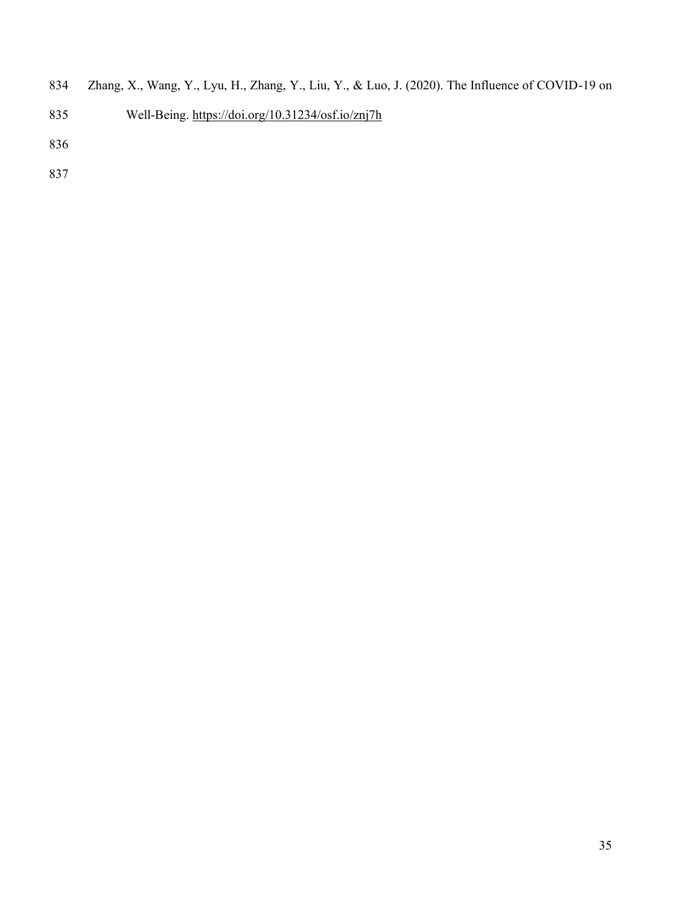- Zhang, X., Wang, Y., Lyu, H., Zhang, Y., Liu, Y., & Luo, J. (2020). The Influence of COVID-19 on
- Well-Being. https://doi.org/10.31234/osf.io/znj7h
- 
-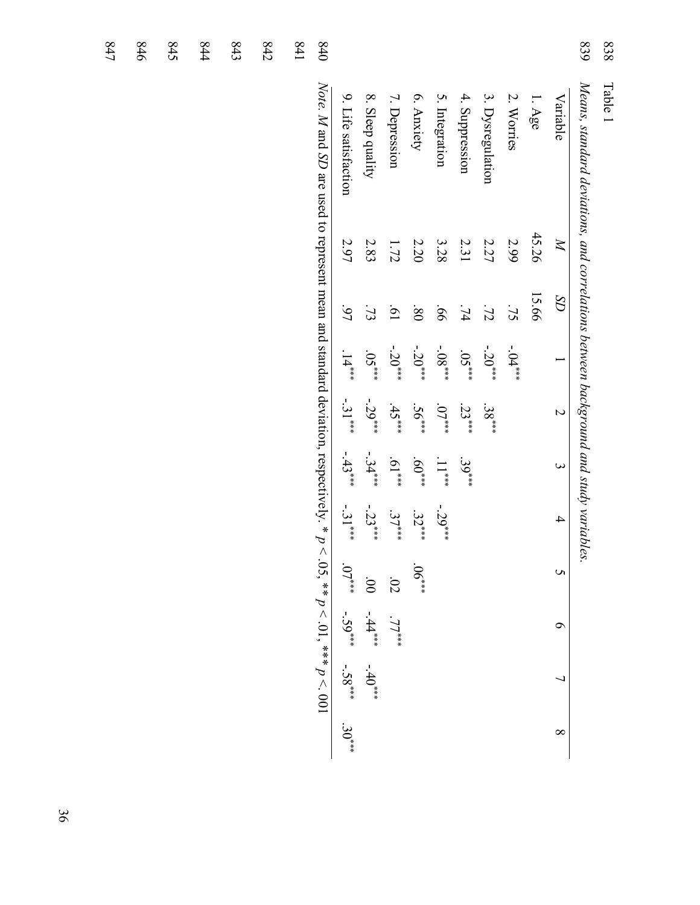| 838     |
|---------|
| ρŢ<br>൨ |

839 *Means, standard deviations, and correlations between background and study variables.* 839 Means, standard deviations, and correlations between background and study variables.

| 1+8 | 840                                                                                                                         |                         |                          |                 |                        |                |                 |                  |                 |          |                |
|-----|-----------------------------------------------------------------------------------------------------------------------------|-------------------------|--------------------------|-----------------|------------------------|----------------|-----------------|------------------|-----------------|----------|----------------|
|     | Note. M and SD are used to represent mean and standard deviation, respectively. * $p < .05$ , ** $p < .01$ , *** $p < .001$ | 9. Life satisfaction    | 8. Sleep quality         | 7. Depression   | 6. Anxiety             | 5. Integration | 4. Suppression  | 3. Dysregulation | 2. Worries      | $1.$ Age | Variable       |
|     |                                                                                                                             | 2.97                    | 2.83                     | 1.72            | 2.20                   | 3.28           | 2.31            | 2.27             | 2.99            | 45.26    | $\Join$        |
|     |                                                                                                                             | ن<br>کا                 | $\mathfrak{Z}$           | $\overline{19}$ | $\overline{\text{08}}$ | 99.            | $\overline{74}$ | $\mathcal{I}$    | $\overline{52}$ | 15.66    | $\Omega$       |
|     |                                                                                                                             | $14***$                 | $.05***$                 | $-20***$        | $-20***$               | $-08***$       | $.05***$        | $-20***$         | $-04***$        |          |                |
|     |                                                                                                                             | $-31***$                | $-29***$                 | $.45***$        | $.56***$               | $.07***$       | $.23***$        | $.38***$         |                 |          |                |
|     |                                                                                                                             | $-43***$                | $-34***$                 | $^{***}$ [0]    | $^{***09}$             | $11***$        | $.39***$        |                  |                 |          |                |
|     |                                                                                                                             | $-31$ <sup>***</sup>    | $-23***$                 | $37^{***}$      | $32^{***}$             | $-29***$       |                 |                  |                 |          | $\overline{4}$ |
|     |                                                                                                                             | $.07***$                |                          | 02              | $.06***$               |                |                 |                  |                 |          |                |
|     |                                                                                                                             |                         | $00 - 44$ <sup>***</sup> | $.77$ ***       |                        |                |                 |                  |                 |          |                |
|     |                                                                                                                             | $-59^{***}$ $-58^{***}$ | $-40^{***}$              |                 |                        |                |                 |                  |                 |          |                |
|     |                                                                                                                             | $30^{***}$              |                          |                 |                        |                |                 |                  |                 |          |                |

844 843 842

845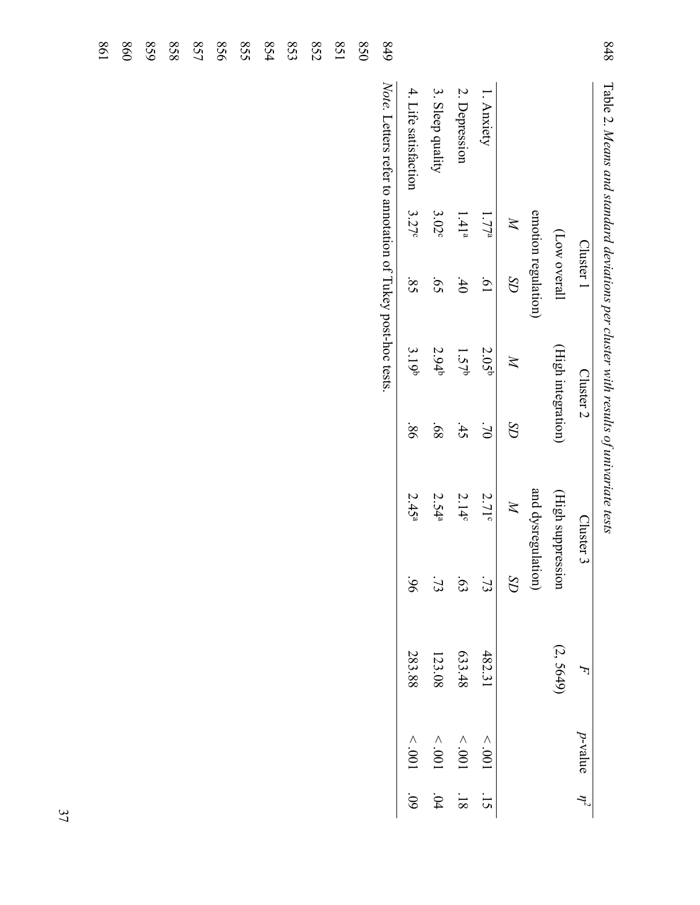| 848<br>Table 2. Means and standard deviations per cluster with results of univariate tests |                   |                     |                      |           |                    |                 |           |                 |
|--------------------------------------------------------------------------------------------|-------------------|---------------------|----------------------|-----------|--------------------|-----------------|-----------|-----------------|
|                                                                                            |                   | Cluster 1           | Cluster <sub>2</sub> |           | Cluster 3          |                 | F         | p-value         |
|                                                                                            |                   | (Low overall        | (High integration)   |           | (High suppression  |                 | (2, 5649) |                 |
|                                                                                            |                   | emotion regulation) |                      |           | and dysregulation) |                 |           |                 |
|                                                                                            | $\mathbb{N}$      | $\Omega$            | $\mathbb{X}$         | $\Omega$  | $\mathbb{N}$       | $\Omega D$      |           |                 |
| l. Anxiety                                                                                 | 1.77 <sup>a</sup> | [9]                 | 2.05 <sup>b</sup>    | $0\angle$ | $2.71^\circ$       | $\overline{73}$ | 482.31    | $100^\circ$ $>$ |
| 2. Depression                                                                              | 1.41 <sup>a</sup> | $-40$               | 1.57 <sup>b</sup>    | 45        | 2.14c              | 63              | 633.48    | $100^\circ >$   |
| 3. Sleep quality                                                                           | $3.02^{\circ}$    | 59                  | 2.94 <sup>b</sup>    | 89.       | 2.54 <sup>a</sup>  | $\ddot{7}$      | 123.08    | $100^\circ$ $>$ |
| 4. Life satisfaction                                                                       | 3.27c             | $\overline{S}$      | 3.19 <sup>b</sup>    | 98.       | 2.45 <sup>a</sup>  | 96              | 283.88    | $100^\circ$ $>$ |
| 648<br>Note. Letters refer to annotation of Tukey post-hoc tests                           |                   |                     |                      |           |                    |                 |           |                 |
| 0 <sub>50</sub>                                                                            |                   |                     |                      |           |                    |                 |           |                 |
| 158                                                                                        |                   |                     |                      |           |                    |                 |           |                 |
| 852                                                                                        |                   |                     |                      |           |                    |                 |           |                 |
| 853                                                                                        |                   |                     |                      |           |                    |                 |           |                 |
| 854                                                                                        |                   |                     |                      |           |                    |                 |           |                 |
| $s_{25}$                                                                                   |                   |                     |                      |           |                    |                 |           |                 |
| 958                                                                                        |                   |                     |                      |           |                    |                 |           |                 |
| 857                                                                                        |                   |                     |                      |           |                    |                 |           |                 |
| 858                                                                                        |                   |                     |                      |           |                    |                 |           |                 |
| 629                                                                                        |                   |                     |                      |           |                    |                 |           |                 |
| 098                                                                                        |                   |                     |                      |           |                    |                 |           |                 |
| $\frac{8}{2}$                                                                              |                   |                     |                      |           |                    |                 |           |                 |

 $84$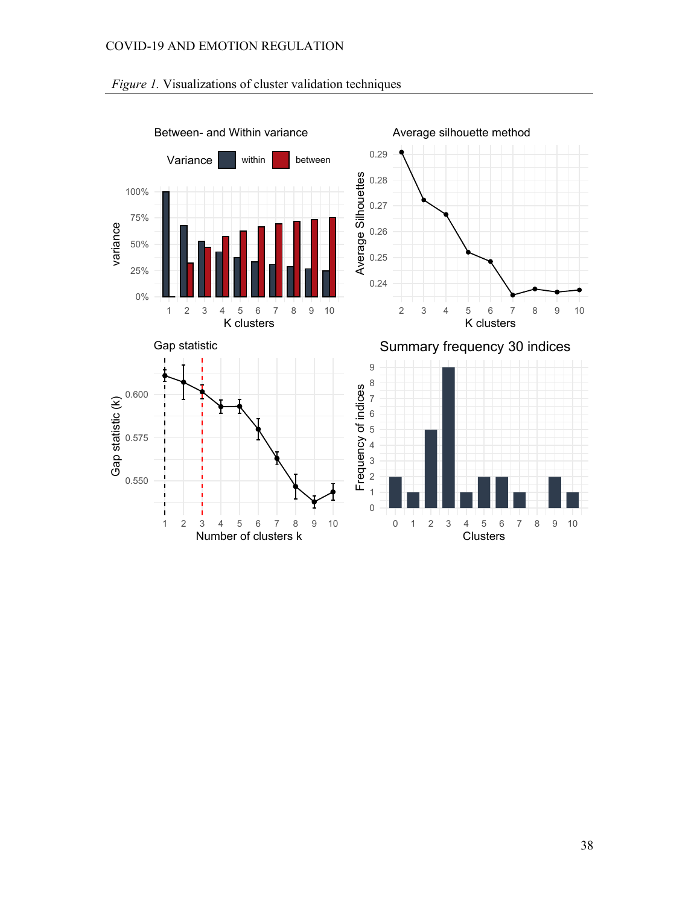

# *Figure 1.* Visualizations of cluster validation techniques